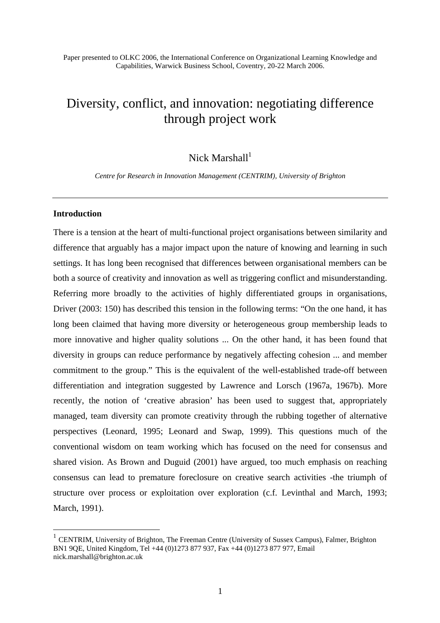Paper presented to OLKC 2006, the International Conference on Organizational Learning Knowledge and Capabilities, Warwick Business School, Coventry, 20-22 March 2006.

# Diversity, conflict, and innovation: negotiating difference through project work

Nick Marshall $1$ 

*Centre for Research in Innovation Management (CENTRIM), University of Brighton*

## **Introduction**

 $\overline{a}$ 

There is a tension at the heart of multi-functional project organisations between similarity and difference that arguably has a major impact upon the nature of knowing and learning in such settings. It has long been recognised that differences between organisational members can be both a source of creativity and innovation as well as triggering conflict and misunderstanding. Referring more broadly to the activities of highly differentiated groups in organisations, Driver (2003: 150) has described this tension in the following terms: "On the one hand, it has long been claimed that having more diversity or heterogeneous group membership leads to more innovative and higher quality solutions ... On the other hand, it has been found that diversity in groups can reduce performance by negatively affecting cohesion ... and member commitment to the group." This is the equivalent of the well-established trade-off between differentiation and integration suggested by Lawrence and Lorsch (1967a, 1967b). More recently, the notion of 'creative abrasion' has been used to suggest that, appropriately managed, team diversity can promote creativity through the rubbing together of alternative perspectives (Leonard, 1995; Leonard and Swap, 1999). This questions much of the conventional wisdom on team working which has focused on the need for consensus and shared vision. As Brown and Duguid (2001) have argued, too much emphasis on reaching consensus can lead to premature foreclosure on creative search activities -the triumph of structure over process or exploitation over exploration (c.f. Levinthal and March, 1993; March, 1991).

<sup>&</sup>lt;sup>1</sup> CENTRIM, University of Brighton, The Freeman Centre (University of Sussex Campus), Falmer, Brighton BN1 9QE, United Kingdom, Tel +44 (0)1273 877 937, Fax +44 (0)1273 877 977, Email nick.marshall@brighton.ac.uk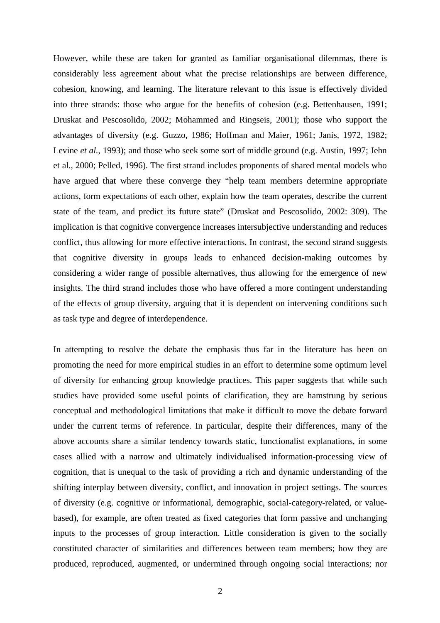However, while these are taken for granted as familiar organisational dilemmas, there is considerably less agreement about what the precise relationships are between difference, cohesion, knowing, and learning. The literature relevant to this issue is effectively divided into three strands: those who argue for the benefits of cohesion (e.g. Bettenhausen, 1991; Druskat and Pescosolido, 2002; Mohammed and Ringseis, 2001); those who support the advantages of diversity (e.g. Guzzo, 1986; Hoffman and Maier, 1961; Janis, 1972, 1982; Levine *et al.*, 1993); and those who seek some sort of middle ground (e.g. Austin, 1997; Jehn et al., 2000; Pelled, 1996). The first strand includes proponents of shared mental models who have argued that where these converge they "help team members determine appropriate actions, form expectations of each other, explain how the team operates, describe the current state of the team, and predict its future state" (Druskat and Pescosolido, 2002: 309). The implication is that cognitive convergence increases intersubjective understanding and reduces conflict, thus allowing for more effective interactions. In contrast, the second strand suggests that cognitive diversity in groups leads to enhanced decision-making outcomes by considering a wider range of possible alternatives, thus allowing for the emergence of new insights. The third strand includes those who have offered a more contingent understanding of the effects of group diversity, arguing that it is dependent on intervening conditions such as task type and degree of interdependence.

In attempting to resolve the debate the emphasis thus far in the literature has been on promoting the need for more empirical studies in an effort to determine some optimum level of diversity for enhancing group knowledge practices. This paper suggests that while such studies have provided some useful points of clarification, they are hamstrung by serious conceptual and methodological limitations that make it difficult to move the debate forward under the current terms of reference. In particular, despite their differences, many of the above accounts share a similar tendency towards static, functionalist explanations, in some cases allied with a narrow and ultimately individualised information-processing view of cognition, that is unequal to the task of providing a rich and dynamic understanding of the shifting interplay between diversity, conflict, and innovation in project settings. The sources of diversity (e.g. cognitive or informational, demographic, social-category-related, or valuebased), for example, are often treated as fixed categories that form passive and unchanging inputs to the processes of group interaction. Little consideration is given to the socially constituted character of similarities and differences between team members; how they are produced, reproduced, augmented, or undermined through ongoing social interactions; nor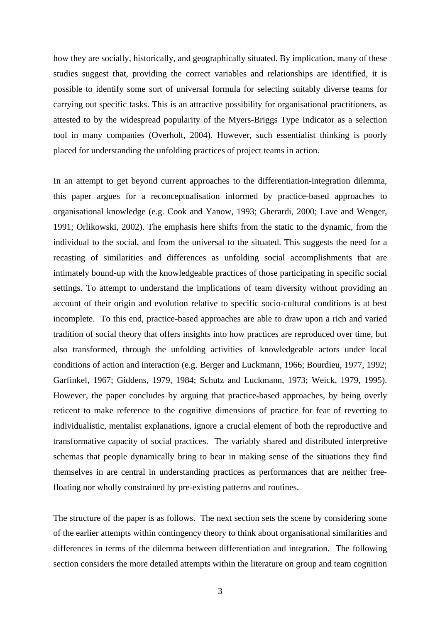how they are socially, historically, and geographically situated. By implication, many of these studies suggest that, providing the correct variables and relationships are identified, it is possible to identify some sort of universal formula for selecting suitably diverse teams for carrying out specific tasks. This is an attractive possibility for organisational practitioners, as attested to by the widespread popularity of the Myers-Briggs Type Indicator as a selection tool in many companies (Overholt, 2004). However, such essentialist thinking is poorly placed for understanding the unfolding practices of project teams in action.

In an attempt to get beyond current approaches to the differentiation-integration dilemma, this paper argues for a reconceptualisation informed by practice-based approaches to organisational knowledge (e.g. Cook and Yanow, 1993; Gherardi, 2000; Lave and Wenger, 1991; Orlikowski, 2002). The emphasis here shifts from the static to the dynamic, from the individual to the social, and from the universal to the situated. This suggests the need for a recasting of similarities and differences as unfolding social accomplishments that are intimately bound-up with the knowledgeable practices of those participating in specific social settings. To attempt to understand the implications of team diversity without providing an account of their origin and evolution relative to specific socio-cultural conditions is at best incomplete. To this end, practice-based approaches are able to draw upon a rich and varied tradition of social theory that offers insights into how practices are reproduced over time, but also transformed, through the unfolding activities of knowledgeable actors under local conditions of action and interaction (e.g. Berger and Luckmann, 1966; Bourdieu, 1977, 1992; Garfinkel, 1967; Giddens, 1979, 1984; Schutz and Luckmann, 1973; Weick, 1979, 1995). However, the paper concludes by arguing that practice-based approaches, by being overly reticent to make reference to the cognitive dimensions of practice for fear of reverting to individualistic, mentalist explanations, ignore a crucial element of both the reproductive and transformative capacity of social practices. The variably shared and distributed interpretive schemas that people dynamically bring to bear in making sense of the situations they find themselves in are central in understanding practices as performances that are neither freefloating nor wholly constrained by pre-existing patterns and routines.

The structure of the paper is as follows. The next section sets the scene by considering some of the earlier attempts within contingency theory to think about organisational similarities and differences in terms of the dilemma between differentiation and integration. The following section considers the more detailed attempts within the literature on group and team cognition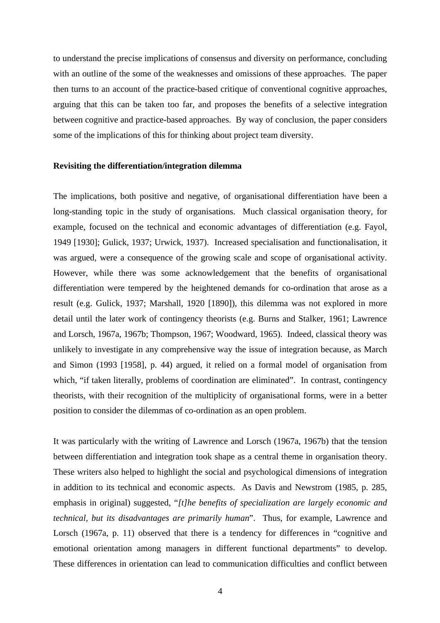to understand the precise implications of consensus and diversity on performance, concluding with an outline of the some of the weaknesses and omissions of these approaches. The paper then turns to an account of the practice-based critique of conventional cognitive approaches, arguing that this can be taken too far, and proposes the benefits of a selective integration between cognitive and practice-based approaches. By way of conclusion, the paper considers some of the implications of this for thinking about project team diversity.

#### **Revisiting the differentiation/integration dilemma**

The implications, both positive and negative, of organisational differentiation have been a long-standing topic in the study of organisations. Much classical organisation theory, for example, focused on the technical and economic advantages of differentiation (e.g. Fayol, 1949 [1930]; Gulick, 1937; Urwick, 1937). Increased specialisation and functionalisation, it was argued, were a consequence of the growing scale and scope of organisational activity. However, while there was some acknowledgement that the benefits of organisational differentiation were tempered by the heightened demands for co-ordination that arose as a result (e.g. Gulick, 1937; Marshall, 1920 [1890]), this dilemma was not explored in more detail until the later work of contingency theorists (e.g. Burns and Stalker, 1961; Lawrence and Lorsch, 1967a, 1967b; Thompson, 1967; Woodward, 1965). Indeed, classical theory was unlikely to investigate in any comprehensive way the issue of integration because, as March and Simon (1993 [1958], p. 44) argued, it relied on a formal model of organisation from which, "if taken literally, problems of coordination are eliminated". In contrast, contingency theorists, with their recognition of the multiplicity of organisational forms, were in a better position to consider the dilemmas of co-ordination as an open problem.

It was particularly with the writing of Lawrence and Lorsch (1967a, 1967b) that the tension between differentiation and integration took shape as a central theme in organisation theory. These writers also helped to highlight the social and psychological dimensions of integration in addition to its technical and economic aspects. As Davis and Newstrom (1985, p. 285, emphasis in original) suggested, "*[t]he benefits of specialization are largely economic and technical, but its disadvantages are primarily human*". Thus, for example, Lawrence and Lorsch (1967a, p. 11) observed that there is a tendency for differences in "cognitive and emotional orientation among managers in different functional departments" to develop. These differences in orientation can lead to communication difficulties and conflict between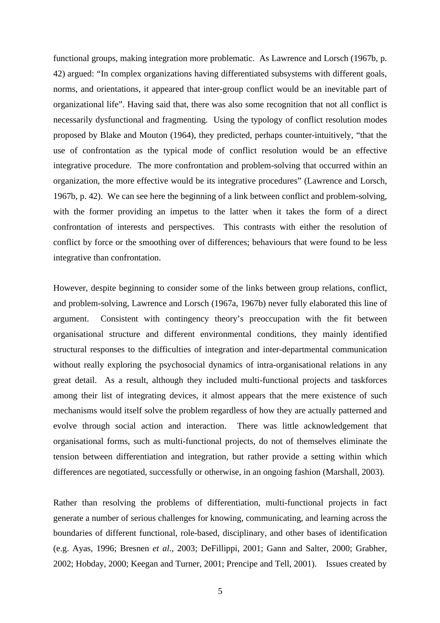functional groups, making integration more problematic. As Lawrence and Lorsch (1967b, p. 42) argued: "In complex organizations having differentiated subsystems with different goals, norms, and orientations, it appeared that inter-group conflict would be an inevitable part of organizational life". Having said that, there was also some recognition that not all conflict is necessarily dysfunctional and fragmenting. Using the typology of conflict resolution modes proposed by Blake and Mouton (1964), they predicted, perhaps counter-intuitively, "that the use of confrontation as the typical mode of conflict resolution would be an effective integrative procedure. The more confrontation and problem-solving that occurred within an organization, the more effective would be its integrative procedures" (Lawrence and Lorsch, 1967b, p. 42). We can see here the beginning of a link between conflict and problem-solving, with the former providing an impetus to the latter when it takes the form of a direct confrontation of interests and perspectives. This contrasts with either the resolution of conflict by force or the smoothing over of differences; behaviours that were found to be less integrative than confrontation.

However, despite beginning to consider some of the links between group relations, conflict, and problem-solving, Lawrence and Lorsch (1967a, 1967b) never fully elaborated this line of argument. Consistent with contingency theory's preoccupation with the fit between organisational structure and different environmental conditions, they mainly identified structural responses to the difficulties of integration and inter-departmental communication without really exploring the psychosocial dynamics of intra-organisational relations in any great detail. As a result, although they included multi-functional projects and taskforces among their list of integrating devices, it almost appears that the mere existence of such mechanisms would itself solve the problem regardless of how they are actually patterned and evolve through social action and interaction. There was little acknowledgement that organisational forms, such as multi-functional projects, do not of themselves eliminate the tension between differentiation and integration, but rather provide a setting within which differences are negotiated, successfully or otherwise, in an ongoing fashion (Marshall, 2003).

Rather than resolving the problems of differentiation, multi-functional projects in fact generate a number of serious challenges for knowing, communicating, and learning across the boundaries of different functional, role-based, disciplinary, and other bases of identification (e.g. Ayas, 1996; Bresnen *et al.,* 2003; DeFillippi, 2001; Gann and Salter, 2000; Grabher, 2002; Hobday, 2000; Keegan and Turner, 2001; Prencipe and Tell, 2001). Issues created by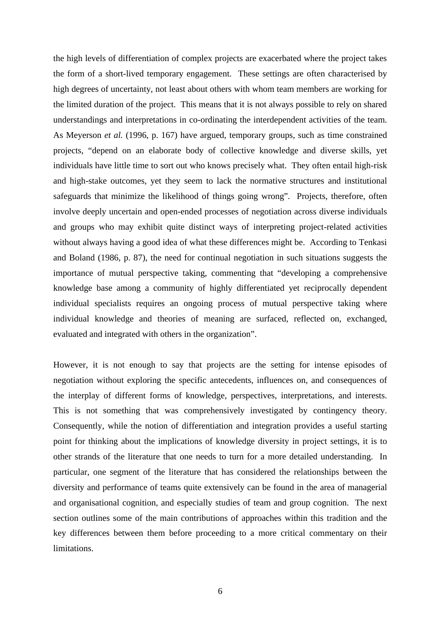the high levels of differentiation of complex projects are exacerbated where the project takes the form of a short-lived temporary engagement. These settings are often characterised by high degrees of uncertainty, not least about others with whom team members are working for the limited duration of the project. This means that it is not always possible to rely on shared understandings and interpretations in co-ordinating the interdependent activities of the team. As Meyerson *et al.* (1996, p. 167) have argued, temporary groups, such as time constrained projects, "depend on an elaborate body of collective knowledge and diverse skills, yet individuals have little time to sort out who knows precisely what. They often entail high-risk and high-stake outcomes, yet they seem to lack the normative structures and institutional safeguards that minimize the likelihood of things going wrong". Projects, therefore, often involve deeply uncertain and open-ended processes of negotiation across diverse individuals and groups who may exhibit quite distinct ways of interpreting project-related activities without always having a good idea of what these differences might be. According to Tenkasi and Boland (1986, p. 87), the need for continual negotiation in such situations suggests the importance of mutual perspective taking, commenting that "developing a comprehensive knowledge base among a community of highly differentiated yet reciprocally dependent individual specialists requires an ongoing process of mutual perspective taking where individual knowledge and theories of meaning are surfaced, reflected on, exchanged, evaluated and integrated with others in the organization".

However, it is not enough to say that projects are the setting for intense episodes of negotiation without exploring the specific antecedents, influences on, and consequences of the interplay of different forms of knowledge, perspectives, interpretations, and interests. This is not something that was comprehensively investigated by contingency theory. Consequently, while the notion of differentiation and integration provides a useful starting point for thinking about the implications of knowledge diversity in project settings, it is to other strands of the literature that one needs to turn for a more detailed understanding. In particular, one segment of the literature that has considered the relationships between the diversity and performance of teams quite extensively can be found in the area of managerial and organisational cognition, and especially studies of team and group cognition. The next section outlines some of the main contributions of approaches within this tradition and the key differences between them before proceeding to a more critical commentary on their limitations.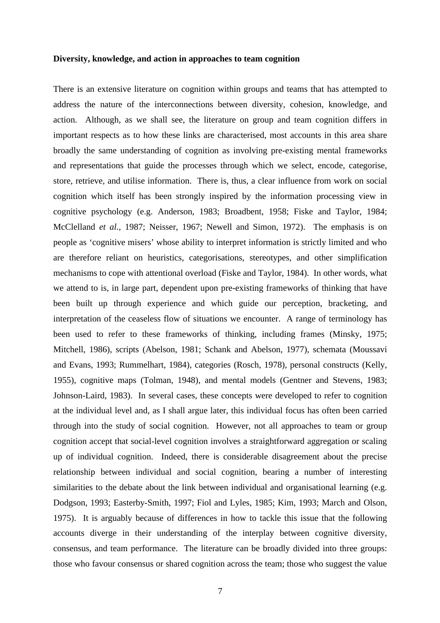### **Diversity, knowledge, and action in approaches to team cognition**

There is an extensive literature on cognition within groups and teams that has attempted to address the nature of the interconnections between diversity, cohesion, knowledge, and action. Although, as we shall see, the literature on group and team cognition differs in important respects as to how these links are characterised, most accounts in this area share broadly the same understanding of cognition as involving pre-existing mental frameworks and representations that guide the processes through which we select, encode, categorise, store, retrieve, and utilise information. There is, thus, a clear influence from work on social cognition which itself has been strongly inspired by the information processing view in cognitive psychology (e.g. Anderson, 1983; Broadbent, 1958; Fiske and Taylor, 1984; McClelland *et al.,* 1987; Neisser, 1967; Newell and Simon, 1972). The emphasis is on people as 'cognitive misers' whose ability to interpret information is strictly limited and who are therefore reliant on heuristics, categorisations, stereotypes, and other simplification mechanisms to cope with attentional overload (Fiske and Taylor, 1984). In other words, what we attend to is, in large part, dependent upon pre-existing frameworks of thinking that have been built up through experience and which guide our perception, bracketing, and interpretation of the ceaseless flow of situations we encounter. A range of terminology has been used to refer to these frameworks of thinking, including frames (Minsky, 1975; Mitchell, 1986), scripts (Abelson, 1981; Schank and Abelson, 1977), schemata (Moussavi and Evans, 1993; Rummelhart, 1984), categories (Rosch, 1978), personal constructs (Kelly, 1955), cognitive maps (Tolman, 1948), and mental models (Gentner and Stevens, 1983; Johnson-Laird, 1983). In several cases, these concepts were developed to refer to cognition at the individual level and, as I shall argue later, this individual focus has often been carried through into the study of social cognition. However, not all approaches to team or group cognition accept that social-level cognition involves a straightforward aggregation or scaling up of individual cognition. Indeed, there is considerable disagreement about the precise relationship between individual and social cognition, bearing a number of interesting similarities to the debate about the link between individual and organisational learning (e.g. Dodgson, 1993; Easterby-Smith, 1997; Fiol and Lyles, 1985; Kim, 1993; March and Olson, 1975). It is arguably because of differences in how to tackle this issue that the following accounts diverge in their understanding of the interplay between cognitive diversity, consensus, and team performance. The literature can be broadly divided into three groups: those who favour consensus or shared cognition across the team; those who suggest the value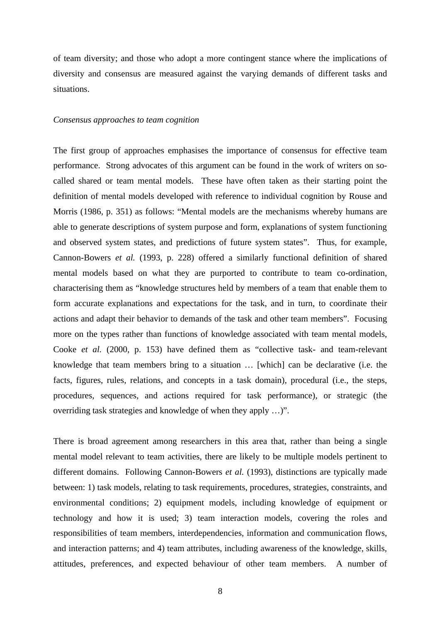of team diversity; and those who adopt a more contingent stance where the implications of diversity and consensus are measured against the varying demands of different tasks and situations.

#### *Consensus approaches to team cognition*

The first group of approaches emphasises the importance of consensus for effective team performance. Strong advocates of this argument can be found in the work of writers on socalled shared or team mental models. These have often taken as their starting point the definition of mental models developed with reference to individual cognition by Rouse and Morris (1986, p. 351) as follows: "Mental models are the mechanisms whereby humans are able to generate descriptions of system purpose and form, explanations of system functioning and observed system states, and predictions of future system states". Thus, for example, Cannon-Bowers *et al.* (1993, p. 228) offered a similarly functional definition of shared mental models based on what they are purported to contribute to team co-ordination, characterising them as "knowledge structures held by members of a team that enable them to form accurate explanations and expectations for the task, and in turn, to coordinate their actions and adapt their behavior to demands of the task and other team members". Focusing more on the types rather than functions of knowledge associated with team mental models, Cooke *et al.* (2000, p. 153) have defined them as "collective task- and team-relevant knowledge that team members bring to a situation … [which] can be declarative (i.e. the facts, figures, rules, relations, and concepts in a task domain), procedural (i.e., the steps, procedures, sequences, and actions required for task performance), or strategic (the overriding task strategies and knowledge of when they apply …)".

There is broad agreement among researchers in this area that, rather than being a single mental model relevant to team activities, there are likely to be multiple models pertinent to different domains. Following Cannon-Bowers *et al.* (1993), distinctions are typically made between: 1) task models, relating to task requirements, procedures, strategies, constraints, and environmental conditions; 2) equipment models, including knowledge of equipment or technology and how it is used; 3) team interaction models, covering the roles and responsibilities of team members, interdependencies, information and communication flows, and interaction patterns; and 4) team attributes, including awareness of the knowledge, skills, attitudes, preferences, and expected behaviour of other team members. A number of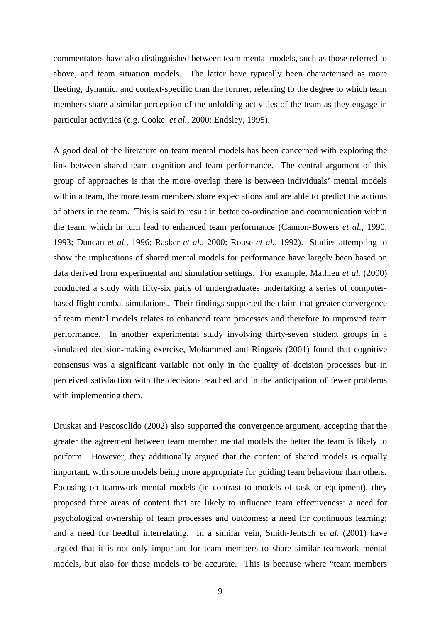commentators have also distinguished between team mental models, such as those referred to above, and team situation models. The latter have typically been characterised as more fleeting, dynamic, and context-specific than the former, referring to the degree to which team members share a similar perception of the unfolding activities of the team as they engage in particular activities (e.g. Cooke *et al.,* 2000; Endsley, 1995).

A good deal of the literature on team mental models has been concerned with exploring the link between shared team cognition and team performance. The central argument of this group of approaches is that the more overlap there is between individuals' mental models within a team, the more team members share expectations and are able to predict the actions of others in the team. This is said to result in better co-ordination and communication within the team, which in turn lead to enhanced team performance (Cannon-Bowers *et al.,* 1990, 1993; Duncan *et al.,* 1996; Rasker *et al.,* 2000; Rouse *et al.,* 1992). Studies attempting to show the implications of shared mental models for performance have largely been based on data derived from experimental and simulation settings. For example, Mathieu *et al.* (2000) conducted a study with fifty-six pairs of undergraduates undertaking a series of computerbased flight combat simulations. Their findings supported the claim that greater convergence of team mental models relates to enhanced team processes and therefore to improved team performance. In another experimental study involving thirty-seven student groups in a simulated decision-making exercise, Mohammed and Ringseis (2001) found that cognitive consensus was a significant variable not only in the quality of decision processes but in perceived satisfaction with the decisions reached and in the anticipation of fewer problems with implementing them.

Druskat and Pescosolido (2002) also supported the convergence argument, accepting that the greater the agreement between team member mental models the better the team is likely to perform. However, they additionally argued that the content of shared models is equally important, with some models being more appropriate for guiding team behaviour than others. Focusing on teamwork mental models (in contrast to models of task or equipment), they proposed three areas of content that are likely to influence team effectiveness: a need for psychological ownership of team processes and outcomes; a need for continuous learning; and a need for heedful interrelating. In a similar vein, Smith-Jentsch *et al.* (2001) have argued that it is not only important for team members to share similar teamwork mental models, but also for those models to be accurate. This is because where "team members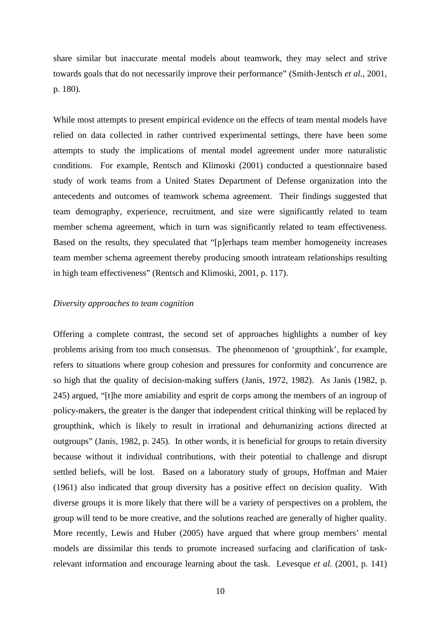share similar but inaccurate mental models about teamwork, they may select and strive towards goals that do not necessarily improve their performance" (Smith-Jentsch *et al.*, 2001, p. 180).

While most attempts to present empirical evidence on the effects of team mental models have relied on data collected in rather contrived experimental settings, there have been some attempts to study the implications of mental model agreement under more naturalistic conditions. For example, Rentsch and Klimoski (2001) conducted a questionnaire based study of work teams from a United States Department of Defense organization into the antecedents and outcomes of teamwork schema agreement. Their findings suggested that team demography, experience, recruitment, and size were significantly related to team member schema agreement, which in turn was significantly related to team effectiveness. Based on the results, they speculated that "[p]erhaps team member homogeneity increases team member schema agreement thereby producing smooth intrateam relationships resulting in high team effectiveness" (Rentsch and Klimoski, 2001, p. 117).

## *Diversity approaches to team cognition*

Offering a complete contrast, the second set of approaches highlights a number of key problems arising from too much consensus. The phenomenon of 'groupthink', for example, refers to situations where group cohesion and pressures for conformity and concurrence are so high that the quality of decision-making suffers (Janis, 1972, 1982). As Janis (1982, p. 245) argued, "[t]he more amiability and esprit de corps among the members of an ingroup of policy-makers, the greater is the danger that independent critical thinking will be replaced by groupthink, which is likely to result in irrational and dehumanizing actions directed at outgroups" (Janis, 1982, p. 245). In other words, it is beneficial for groups to retain diversity because without it individual contributions, with their potential to challenge and disrupt settled beliefs, will be lost. Based on a laboratory study of groups, Hoffman and Maier (1961) also indicated that group diversity has a positive effect on decision quality. With diverse groups it is more likely that there will be a variety of perspectives on a problem, the group will tend to be more creative, and the solutions reached are generally of higher quality. More recently, Lewis and Huber (2005) have argued that where group members' mental models are dissimilar this tends to promote increased surfacing and clarification of taskrelevant information and encourage learning about the task. Levesque *et al.* (2001, p. 141)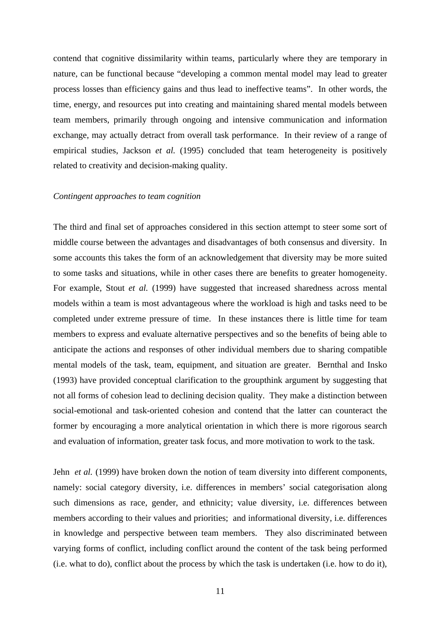contend that cognitive dissimilarity within teams, particularly where they are temporary in nature, can be functional because "developing a common mental model may lead to greater process losses than efficiency gains and thus lead to ineffective teams". In other words, the time, energy, and resources put into creating and maintaining shared mental models between team members, primarily through ongoing and intensive communication and information exchange, may actually detract from overall task performance. In their review of a range of empirical studies, Jackson *et al.* (1995) concluded that team heterogeneity is positively related to creativity and decision-making quality.

#### *Contingent approaches to team cognition*

The third and final set of approaches considered in this section attempt to steer some sort of middle course between the advantages and disadvantages of both consensus and diversity. In some accounts this takes the form of an acknowledgement that diversity may be more suited to some tasks and situations, while in other cases there are benefits to greater homogeneity. For example, Stout *et al.* (1999) have suggested that increased sharedness across mental models within a team is most advantageous where the workload is high and tasks need to be completed under extreme pressure of time. In these instances there is little time for team members to express and evaluate alternative perspectives and so the benefits of being able to anticipate the actions and responses of other individual members due to sharing compatible mental models of the task, team, equipment, and situation are greater. Bernthal and Insko (1993) have provided conceptual clarification to the groupthink argument by suggesting that not all forms of cohesion lead to declining decision quality. They make a distinction between social-emotional and task-oriented cohesion and contend that the latter can counteract the former by encouraging a more analytical orientation in which there is more rigorous search and evaluation of information, greater task focus, and more motivation to work to the task.

Jehn *et al.* (1999) have broken down the notion of team diversity into different components, namely: social category diversity, i.e. differences in members' social categorisation along such dimensions as race, gender, and ethnicity; value diversity, i.e. differences between members according to their values and priorities; and informational diversity, i.e. differences in knowledge and perspective between team members. They also discriminated between varying forms of conflict, including conflict around the content of the task being performed (i.e. what to do), conflict about the process by which the task is undertaken (i.e. how to do it),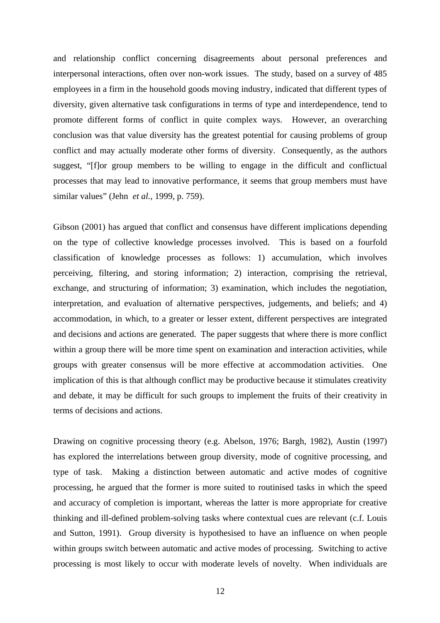and relationship conflict concerning disagreements about personal preferences and interpersonal interactions, often over non-work issues. The study, based on a survey of 485 employees in a firm in the household goods moving industry, indicated that different types of diversity, given alternative task configurations in terms of type and interdependence, tend to promote different forms of conflict in quite complex ways. However, an overarching conclusion was that value diversity has the greatest potential for causing problems of group conflict and may actually moderate other forms of diversity. Consequently, as the authors suggest, "[f]or group members to be willing to engage in the difficult and conflictual processes that may lead to innovative performance, it seems that group members must have similar values" (Jehn *et al.,* 1999, p. 759).

Gibson (2001) has argued that conflict and consensus have different implications depending on the type of collective knowledge processes involved. This is based on a fourfold classification of knowledge processes as follows: 1) accumulation, which involves perceiving, filtering, and storing information; 2) interaction, comprising the retrieval, exchange, and structuring of information; 3) examination, which includes the negotiation, interpretation, and evaluation of alternative perspectives, judgements, and beliefs; and 4) accommodation, in which, to a greater or lesser extent, different perspectives are integrated and decisions and actions are generated. The paper suggests that where there is more conflict within a group there will be more time spent on examination and interaction activities, while groups with greater consensus will be more effective at accommodation activities. One implication of this is that although conflict may be productive because it stimulates creativity and debate, it may be difficult for such groups to implement the fruits of their creativity in terms of decisions and actions.

Drawing on cognitive processing theory (e.g. Abelson, 1976; Bargh, 1982), Austin (1997) has explored the interrelations between group diversity, mode of cognitive processing, and type of task. Making a distinction between automatic and active modes of cognitive processing, he argued that the former is more suited to routinised tasks in which the speed and accuracy of completion is important, whereas the latter is more appropriate for creative thinking and ill-defined problem-solving tasks where contextual cues are relevant (c.f. Louis and Sutton, 1991). Group diversity is hypothesised to have an influence on when people within groups switch between automatic and active modes of processing. Switching to active processing is most likely to occur with moderate levels of novelty. When individuals are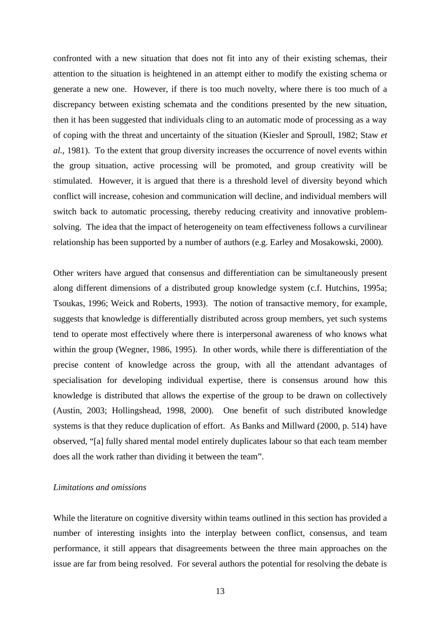confronted with a new situation that does not fit into any of their existing schemas, their attention to the situation is heightened in an attempt either to modify the existing schema or generate a new one. However, if there is too much novelty, where there is too much of a discrepancy between existing schemata and the conditions presented by the new situation, then it has been suggested that individuals cling to an automatic mode of processing as a way of coping with the threat and uncertainty of the situation (Kiesler and Sproull, 1982; Staw *et al.,* 1981). To the extent that group diversity increases the occurrence of novel events within the group situation, active processing will be promoted, and group creativity will be stimulated. However, it is argued that there is a threshold level of diversity beyond which conflict will increase, cohesion and communication will decline, and individual members will switch back to automatic processing, thereby reducing creativity and innovative problemsolving. The idea that the impact of heterogeneity on team effectiveness follows a curvilinear relationship has been supported by a number of authors (e.g. Earley and Mosakowski, 2000).

Other writers have argued that consensus and differentiation can be simultaneously present along different dimensions of a distributed group knowledge system (c.f. Hutchins, 1995a; Tsoukas, 1996; Weick and Roberts, 1993). The notion of transactive memory, for example, suggests that knowledge is differentially distributed across group members, yet such systems tend to operate most effectively where there is interpersonal awareness of who knows what within the group (Wegner, 1986, 1995). In other words, while there is differentiation of the precise content of knowledge across the group, with all the attendant advantages of specialisation for developing individual expertise, there is consensus around how this knowledge is distributed that allows the expertise of the group to be drawn on collectively (Austin, 2003; Hollingshead, 1998, 2000). One benefit of such distributed knowledge systems is that they reduce duplication of effort. As Banks and Millward (2000, p. 514) have observed, "[a] fully shared mental model entirely duplicates labour so that each team member does all the work rather than dividing it between the team".

## *Limitations and omissions*

While the literature on cognitive diversity within teams outlined in this section has provided a number of interesting insights into the interplay between conflict, consensus, and team performance, it still appears that disagreements between the three main approaches on the issue are far from being resolved. For several authors the potential for resolving the debate is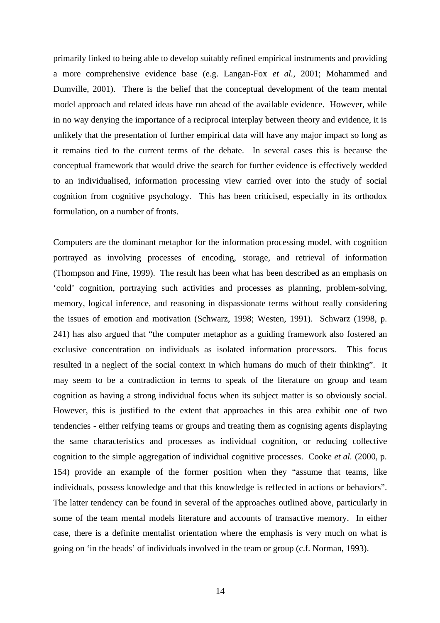primarily linked to being able to develop suitably refined empirical instruments and providing a more comprehensive evidence base (e.g. Langan-Fox *et al.,* 2001; Mohammed and Dumville, 2001). There is the belief that the conceptual development of the team mental model approach and related ideas have run ahead of the available evidence. However, while in no way denying the importance of a reciprocal interplay between theory and evidence, it is unlikely that the presentation of further empirical data will have any major impact so long as it remains tied to the current terms of the debate. In several cases this is because the conceptual framework that would drive the search for further evidence is effectively wedded to an individualised, information processing view carried over into the study of social cognition from cognitive psychology. This has been criticised, especially in its orthodox formulation, on a number of fronts.

Computers are the dominant metaphor for the information processing model, with cognition portrayed as involving processes of encoding, storage, and retrieval of information (Thompson and Fine, 1999). The result has been what has been described as an emphasis on 'cold' cognition, portraying such activities and processes as planning, problem-solving, memory, logical inference, and reasoning in dispassionate terms without really considering the issues of emotion and motivation (Schwarz, 1998; Westen, 1991). Schwarz (1998, p. 241) has also argued that "the computer metaphor as a guiding framework also fostered an exclusive concentration on individuals as isolated information processors. This focus resulted in a neglect of the social context in which humans do much of their thinking". It may seem to be a contradiction in terms to speak of the literature on group and team cognition as having a strong individual focus when its subject matter is so obviously social. However, this is justified to the extent that approaches in this area exhibit one of two tendencies - either reifying teams or groups and treating them as cognising agents displaying the same characteristics and processes as individual cognition, or reducing collective cognition to the simple aggregation of individual cognitive processes. Cooke *et al.* (2000, p. 154) provide an example of the former position when they "assume that teams, like individuals, possess knowledge and that this knowledge is reflected in actions or behaviors". The latter tendency can be found in several of the approaches outlined above, particularly in some of the team mental models literature and accounts of transactive memory. In either case, there is a definite mentalist orientation where the emphasis is very much on what is going on 'in the heads' of individuals involved in the team or group (c.f. Norman, 1993).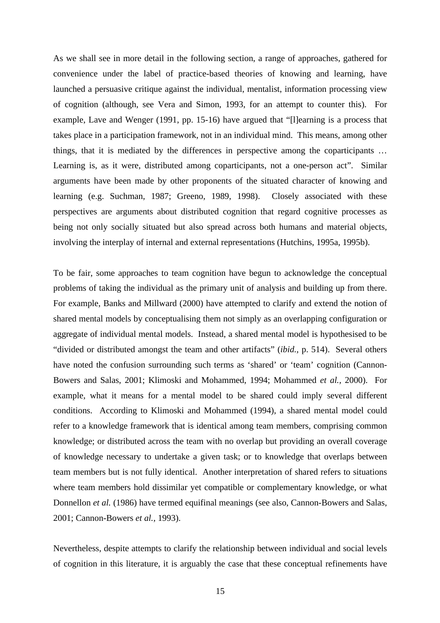As we shall see in more detail in the following section, a range of approaches, gathered for convenience under the label of practice-based theories of knowing and learning, have launched a persuasive critique against the individual, mentalist, information processing view of cognition (although, see Vera and Simon, 1993, for an attempt to counter this). For example, Lave and Wenger (1991, pp. 15-16) have argued that "[l]earning is a process that takes place in a participation framework, not in an individual mind. This means, among other things, that it is mediated by the differences in perspective among the coparticipants … Learning is, as it were, distributed among coparticipants, not a one-person act". Similar arguments have been made by other proponents of the situated character of knowing and learning (e.g. Suchman, 1987; Greeno, 1989, 1998). Closely associated with these perspectives are arguments about distributed cognition that regard cognitive processes as being not only socially situated but also spread across both humans and material objects, involving the interplay of internal and external representations (Hutchins, 1995a, 1995b).

To be fair, some approaches to team cognition have begun to acknowledge the conceptual problems of taking the individual as the primary unit of analysis and building up from there. For example, Banks and Millward (2000) have attempted to clarify and extend the notion of shared mental models by conceptualising them not simply as an overlapping configuration or aggregate of individual mental models. Instead, a shared mental model is hypothesised to be "divided or distributed amongst the team and other artifacts" (*ibid.,* p. 514). Several others have noted the confusion surrounding such terms as 'shared' or 'team' cognition (Cannon-Bowers and Salas, 2001; Klimoski and Mohammed, 1994; Mohammed *et al.,* 2000). For example, what it means for a mental model to be shared could imply several different conditions. According to Klimoski and Mohammed (1994), a shared mental model could refer to a knowledge framework that is identical among team members, comprising common knowledge; or distributed across the team with no overlap but providing an overall coverage of knowledge necessary to undertake a given task; or to knowledge that overlaps between team members but is not fully identical. Another interpretation of shared refers to situations where team members hold dissimilar yet compatible or complementary knowledge, or what Donnellon *et al.* (1986) have termed equifinal meanings (see also, Cannon-Bowers and Salas, 2001; Cannon-Bowers *et al.,* 1993).

Nevertheless, despite attempts to clarify the relationship between individual and social levels of cognition in this literature, it is arguably the case that these conceptual refinements have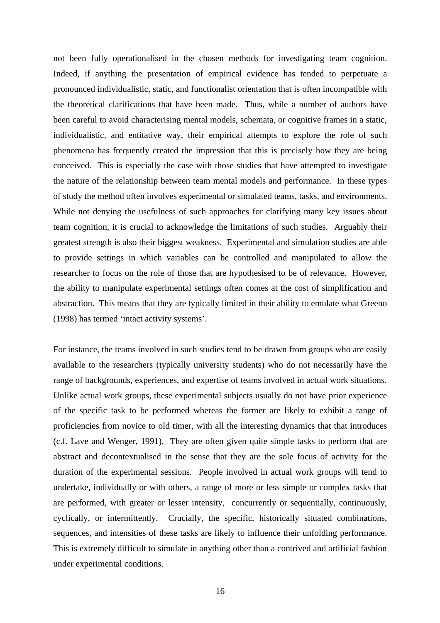not been fully operationalised in the chosen methods for investigating team cognition. Indeed, if anything the presentation of empirical evidence has tended to perpetuate a pronounced individualistic, static, and functionalist orientation that is often incompatible with the theoretical clarifications that have been made. Thus, while a number of authors have been careful to avoid characterising mental models, schemata, or cognitive frames in a static, individualistic, and entitative way, their empirical attempts to explore the role of such phenomena has frequently created the impression that this is precisely how they are being conceived. This is especially the case with those studies that have attempted to investigate the nature of the relationship between team mental models and performance. In these types of study the method often involves experimental or simulated teams, tasks, and environments. While not denying the usefulness of such approaches for clarifying many key issues about team cognition, it is crucial to acknowledge the limitations of such studies. Arguably their greatest strength is also their biggest weakness. Experimental and simulation studies are able to provide settings in which variables can be controlled and manipulated to allow the researcher to focus on the role of those that are hypothesised to be of relevance. However, the ability to manipulate experimental settings often comes at the cost of simplification and abstraction. This means that they are typically limited in their ability to emulate what Greeno (1998) has termed 'intact activity systems'.

For instance, the teams involved in such studies tend to be drawn from groups who are easily available to the researchers (typically university students) who do not necessarily have the range of backgrounds, experiences, and expertise of teams involved in actual work situations. Unlike actual work groups, these experimental subjects usually do not have prior experience of the specific task to be performed whereas the former are likely to exhibit a range of proficiencies from novice to old timer, with all the interesting dynamics that that introduces (c.f. Lave and Wenger, 1991). They are often given quite simple tasks to perform that are abstract and decontextualised in the sense that they are the sole focus of activity for the duration of the experimental sessions. People involved in actual work groups will tend to undertake, individually or with others, a range of more or less simple or complex tasks that are performed, with greater or lesser intensity, concurrently or sequentially, continuously, cyclically, or intermittently. Crucially, the specific, historically situated combinations, sequences, and intensities of these tasks are likely to influence their unfolding performance. This is extremely difficult to simulate in anything other than a contrived and artificial fashion under experimental conditions.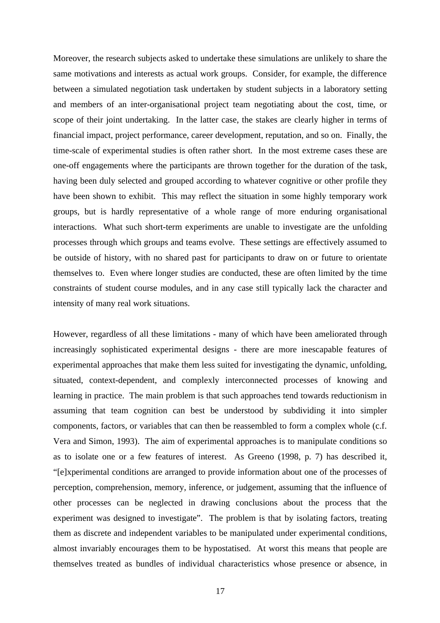Moreover, the research subjects asked to undertake these simulations are unlikely to share the same motivations and interests as actual work groups. Consider, for example, the difference between a simulated negotiation task undertaken by student subjects in a laboratory setting and members of an inter-organisational project team negotiating about the cost, time, or scope of their joint undertaking. In the latter case, the stakes are clearly higher in terms of financial impact, project performance, career development, reputation, and so on. Finally, the time-scale of experimental studies is often rather short. In the most extreme cases these are one-off engagements where the participants are thrown together for the duration of the task, having been duly selected and grouped according to whatever cognitive or other profile they have been shown to exhibit. This may reflect the situation in some highly temporary work groups, but is hardly representative of a whole range of more enduring organisational interactions. What such short-term experiments are unable to investigate are the unfolding processes through which groups and teams evolve. These settings are effectively assumed to be outside of history, with no shared past for participants to draw on or future to orientate themselves to. Even where longer studies are conducted, these are often limited by the time constraints of student course modules, and in any case still typically lack the character and intensity of many real work situations.

However, regardless of all these limitations - many of which have been ameliorated through increasingly sophisticated experimental designs - there are more inescapable features of experimental approaches that make them less suited for investigating the dynamic, unfolding, situated, context-dependent, and complexly interconnected processes of knowing and learning in practice. The main problem is that such approaches tend towards reductionism in assuming that team cognition can best be understood by subdividing it into simpler components, factors, or variables that can then be reassembled to form a complex whole (c.f. Vera and Simon, 1993). The aim of experimental approaches is to manipulate conditions so as to isolate one or a few features of interest. As Greeno (1998, p. 7) has described it, "[e]xperimental conditions are arranged to provide information about one of the processes of perception, comprehension, memory, inference, or judgement, assuming that the influence of other processes can be neglected in drawing conclusions about the process that the experiment was designed to investigate". The problem is that by isolating factors, treating them as discrete and independent variables to be manipulated under experimental conditions, almost invariably encourages them to be hypostatised. At worst this means that people are themselves treated as bundles of individual characteristics whose presence or absence, in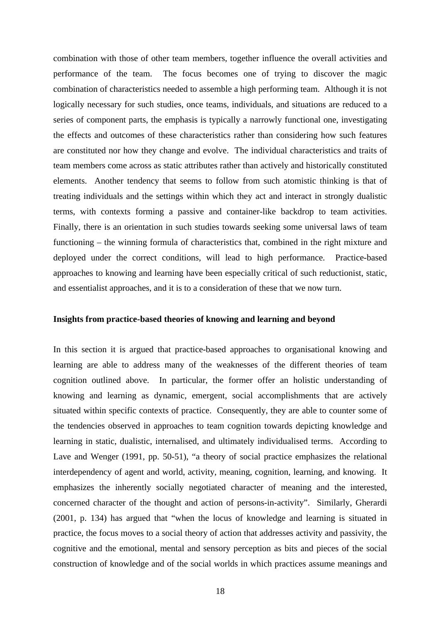combination with those of other team members, together influence the overall activities and performance of the team. The focus becomes one of trying to discover the magic combination of characteristics needed to assemble a high performing team. Although it is not logically necessary for such studies, once teams, individuals, and situations are reduced to a series of component parts, the emphasis is typically a narrowly functional one, investigating the effects and outcomes of these characteristics rather than considering how such features are constituted nor how they change and evolve. The individual characteristics and traits of team members come across as static attributes rather than actively and historically constituted elements. Another tendency that seems to follow from such atomistic thinking is that of treating individuals and the settings within which they act and interact in strongly dualistic terms, with contexts forming a passive and container-like backdrop to team activities. Finally, there is an orientation in such studies towards seeking some universal laws of team functioning – the winning formula of characteristics that, combined in the right mixture and deployed under the correct conditions, will lead to high performance. Practice-based approaches to knowing and learning have been especially critical of such reductionist, static, and essentialist approaches, and it is to a consideration of these that we now turn.

## **Insights from practice-based theories of knowing and learning and beyond**

In this section it is argued that practice-based approaches to organisational knowing and learning are able to address many of the weaknesses of the different theories of team cognition outlined above. In particular, the former offer an holistic understanding of knowing and learning as dynamic, emergent, social accomplishments that are actively situated within specific contexts of practice. Consequently, they are able to counter some of the tendencies observed in approaches to team cognition towards depicting knowledge and learning in static, dualistic, internalised, and ultimately individualised terms. According to Lave and Wenger (1991, pp. 50-51), "a theory of social practice emphasizes the relational interdependency of agent and world, activity, meaning, cognition, learning, and knowing. It emphasizes the inherently socially negotiated character of meaning and the interested, concerned character of the thought and action of persons-in-activity". Similarly, Gherardi (2001, p. 134) has argued that "when the locus of knowledge and learning is situated in practice, the focus moves to a social theory of action that addresses activity and passivity, the cognitive and the emotional, mental and sensory perception as bits and pieces of the social construction of knowledge and of the social worlds in which practices assume meanings and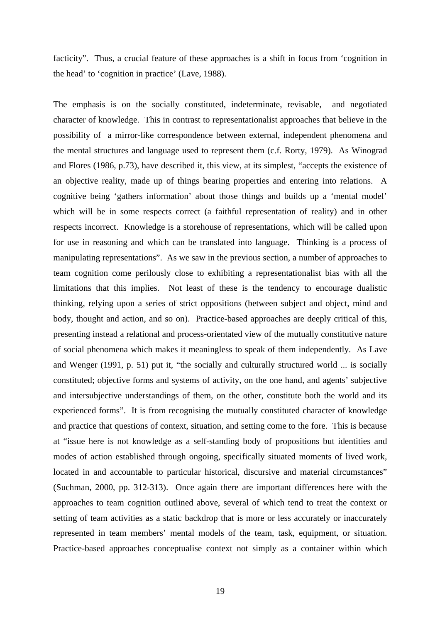facticity". Thus, a crucial feature of these approaches is a shift in focus from 'cognition in the head' to 'cognition in practice' (Lave, 1988).

The emphasis is on the socially constituted, indeterminate, revisable, and negotiated character of knowledge. This in contrast to representationalist approaches that believe in the possibility of a mirror-like correspondence between external, independent phenomena and the mental structures and language used to represent them (c.f. Rorty, 1979). As Winograd and Flores (1986, p.73), have described it, this view, at its simplest, "accepts the existence of an objective reality, made up of things bearing properties and entering into relations. A cognitive being 'gathers information' about those things and builds up a 'mental model' which will be in some respects correct (a faithful representation of reality) and in other respects incorrect. Knowledge is a storehouse of representations, which will be called upon for use in reasoning and which can be translated into language. Thinking is a process of manipulating representations". As we saw in the previous section, a number of approaches to team cognition come perilously close to exhibiting a representationalist bias with all the limitations that this implies. Not least of these is the tendency to encourage dualistic thinking, relying upon a series of strict oppositions (between subject and object, mind and body, thought and action, and so on). Practice-based approaches are deeply critical of this, presenting instead a relational and process-orientated view of the mutually constitutive nature of social phenomena which makes it meaningless to speak of them independently. As Lave and Wenger (1991, p. 51) put it, "the socially and culturally structured world ... is socially constituted; objective forms and systems of activity, on the one hand, and agents' subjective and intersubjective understandings of them, on the other, constitute both the world and its experienced forms". It is from recognising the mutually constituted character of knowledge and practice that questions of context, situation, and setting come to the fore. This is because at "issue here is not knowledge as a self-standing body of propositions but identities and modes of action established through ongoing, specifically situated moments of lived work, located in and accountable to particular historical, discursive and material circumstances" (Suchman, 2000, pp. 312-313). Once again there are important differences here with the approaches to team cognition outlined above, several of which tend to treat the context or setting of team activities as a static backdrop that is more or less accurately or inaccurately represented in team members' mental models of the team, task, equipment, or situation. Practice-based approaches conceptualise context not simply as a container within which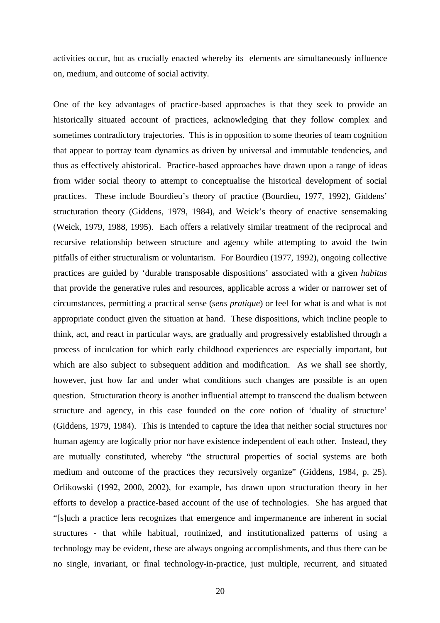activities occur, but as crucially enacted whereby its elements are simultaneously influence on, medium, and outcome of social activity.

One of the key advantages of practice-based approaches is that they seek to provide an historically situated account of practices, acknowledging that they follow complex and sometimes contradictory trajectories. This is in opposition to some theories of team cognition that appear to portray team dynamics as driven by universal and immutable tendencies, and thus as effectively ahistorical. Practice-based approaches have drawn upon a range of ideas from wider social theory to attempt to conceptualise the historical development of social practices. These include Bourdieu's theory of practice (Bourdieu, 1977, 1992), Giddens' structuration theory (Giddens, 1979, 1984), and Weick's theory of enactive sensemaking (Weick, 1979, 1988, 1995). Each offers a relatively similar treatment of the reciprocal and recursive relationship between structure and agency while attempting to avoid the twin pitfalls of either structuralism or voluntarism. For Bourdieu (1977, 1992), ongoing collective practices are guided by 'durable transposable dispositions' associated with a given *habitus*  that provide the generative rules and resources, applicable across a wider or narrower set of circumstances, permitting a practical sense (*sens pratique*) or feel for what is and what is not appropriate conduct given the situation at hand. These dispositions, which incline people to think, act, and react in particular ways, are gradually and progressively established through a process of inculcation for which early childhood experiences are especially important, but which are also subject to subsequent addition and modification. As we shall see shortly, however, just how far and under what conditions such changes are possible is an open question. Structuration theory is another influential attempt to transcend the dualism between structure and agency, in this case founded on the core notion of 'duality of structure' (Giddens, 1979, 1984). This is intended to capture the idea that neither social structures nor human agency are logically prior nor have existence independent of each other. Instead, they are mutually constituted, whereby "the structural properties of social systems are both medium and outcome of the practices they recursively organize" (Giddens, 1984, p. 25). Orlikowski (1992, 2000, 2002), for example, has drawn upon structuration theory in her efforts to develop a practice-based account of the use of technologies. She has argued that "[s]uch a practice lens recognizes that emergence and impermanence are inherent in social structures - that while habitual, routinized, and institutionalized patterns of using a technology may be evident, these are always ongoing accomplishments, and thus there can be no single, invariant, or final technology-in-practice, just multiple, recurrent, and situated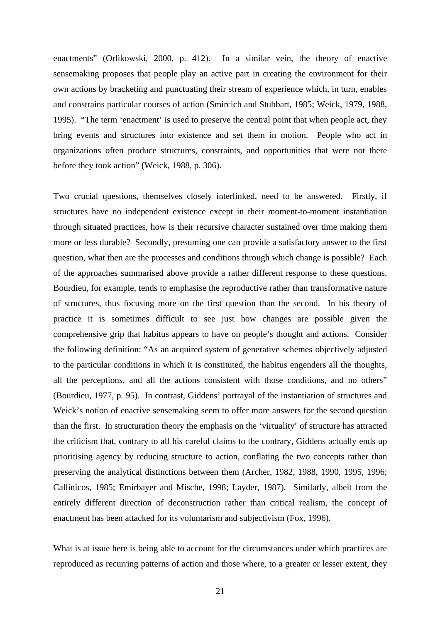enactments" (Orlikowski, 2000, p. 412). In a similar vein, the theory of enactive sensemaking proposes that people play an active part in creating the environment for their own actions by bracketing and punctuating their stream of experience which, in turn, enables and constrains particular courses of action (Smircich and Stubbart, 1985; Weick, 1979, 1988, 1995). "The term 'enactment' is used to preserve the central point that when people act, they bring events and structures into existence and set them in motion. People who act in organizations often produce structures, constraints, and opportunities that were not there before they took action" (Weick, 1988, p. 306).

Two crucial questions, themselves closely interlinked, need to be answered. Firstly, if structures have no independent existence except in their moment-to-moment instantiation through situated practices, how is their recursive character sustained over time making them more or less durable? Secondly, presuming one can provide a satisfactory answer to the first question, what then are the processes and conditions through which change is possible? Each of the approaches summarised above provide a rather different response to these questions. Bourdieu, for example, tends to emphasise the reproductive rather than transformative nature of structures, thus focusing more on the first question than the second. In his theory of practice it is sometimes difficult to see just how changes are possible given the comprehensive grip that habitus appears to have on people's thought and actions. Consider the following definition: "As an acquired system of generative schemes objectively adjusted to the particular conditions in which it is constituted, the habitus engenders all the thoughts, all the perceptions, and all the actions consistent with those conditions, and no others" (Bourdieu, 1977, p. 95). In contrast, Giddens' portrayal of the instantiation of structures and Weick's notion of enactive sensemaking seem to offer more answers for the second question than the first. In structuration theory the emphasis on the 'virtuality' of structure has attracted the criticism that, contrary to all his careful claims to the contrary, Giddens actually ends up prioritising agency by reducing structure to action, conflating the two concepts rather than preserving the analytical distinctions between them (Archer, 1982, 1988, 1990, 1995, 1996; Callinicos, 1985; Emirbayer and Mische, 1998; Layder, 1987). Similarly, albeit from the entirely different direction of deconstruction rather than critical realism, the concept of enactment has been attacked for its voluntarism and subjectivism (Fox, 1996).

What is at issue here is being able to account for the circumstances under which practices are reproduced as recurring patterns of action and those where, to a greater or lesser extent, they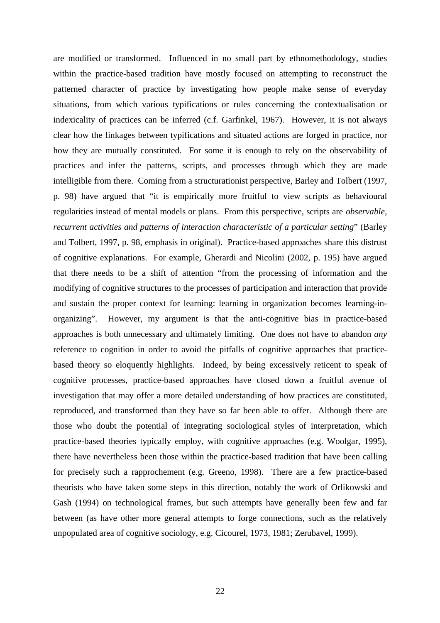are modified or transformed. Influenced in no small part by ethnomethodology, studies within the practice-based tradition have mostly focused on attempting to reconstruct the patterned character of practice by investigating how people make sense of everyday situations, from which various typifications or rules concerning the contextualisation or indexicality of practices can be inferred (c.f. Garfinkel, 1967). However, it is not always clear how the linkages between typifications and situated actions are forged in practice, nor how they are mutually constituted. For some it is enough to rely on the observability of practices and infer the patterns, scripts, and processes through which they are made intelligible from there. Coming from a structurationist perspective, Barley and Tolbert (1997, p. 98) have argued that "it is empirically more fruitful to view scripts as behavioural regularities instead of mental models or plans. From this perspective, scripts are *observable, recurrent activities and patterns of interaction characteristic of a particular setting*" (Barley and Tolbert, 1997, p. 98, emphasis in original). Practice-based approaches share this distrust of cognitive explanations. For example, Gherardi and Nicolini (2002, p. 195) have argued that there needs to be a shift of attention "from the processing of information and the modifying of cognitive structures to the processes of participation and interaction that provide and sustain the proper context for learning: learning in organization becomes learning-inorganizing". However, my argument is that the anti-cognitive bias in practice-based approaches is both unnecessary and ultimately limiting. One does not have to abandon *any*  reference to cognition in order to avoid the pitfalls of cognitive approaches that practicebased theory so eloquently highlights. Indeed, by being excessively reticent to speak of cognitive processes, practice-based approaches have closed down a fruitful avenue of investigation that may offer a more detailed understanding of how practices are constituted, reproduced, and transformed than they have so far been able to offer. Although there are those who doubt the potential of integrating sociological styles of interpretation, which practice-based theories typically employ, with cognitive approaches (e.g. Woolgar, 1995), there have nevertheless been those within the practice-based tradition that have been calling for precisely such a rapprochement (e.g. Greeno, 1998). There are a few practice-based theorists who have taken some steps in this direction, notably the work of Orlikowski and Gash (1994) on technological frames, but such attempts have generally been few and far between (as have other more general attempts to forge connections, such as the relatively unpopulated area of cognitive sociology, e.g. Cicourel, 1973, 1981; Zerubavel, 1999).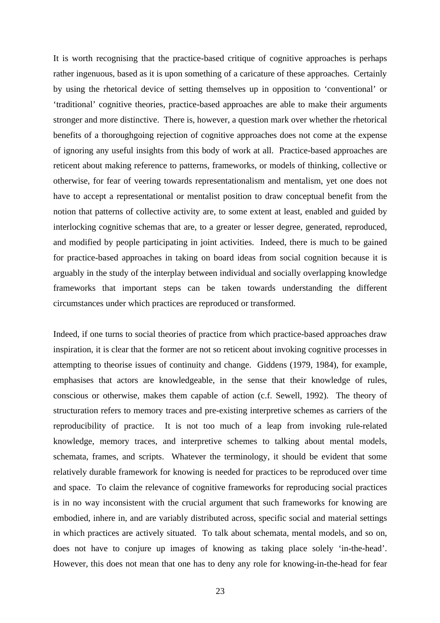It is worth recognising that the practice-based critique of cognitive approaches is perhaps rather ingenuous, based as it is upon something of a caricature of these approaches. Certainly by using the rhetorical device of setting themselves up in opposition to 'conventional' or 'traditional' cognitive theories, practice-based approaches are able to make their arguments stronger and more distinctive. There is, however, a question mark over whether the rhetorical benefits of a thoroughgoing rejection of cognitive approaches does not come at the expense of ignoring any useful insights from this body of work at all. Practice-based approaches are reticent about making reference to patterns, frameworks, or models of thinking, collective or otherwise, for fear of veering towards representationalism and mentalism, yet one does not have to accept a representational or mentalist position to draw conceptual benefit from the notion that patterns of collective activity are, to some extent at least, enabled and guided by interlocking cognitive schemas that are, to a greater or lesser degree, generated, reproduced, and modified by people participating in joint activities. Indeed, there is much to be gained for practice-based approaches in taking on board ideas from social cognition because it is arguably in the study of the interplay between individual and socially overlapping knowledge frameworks that important steps can be taken towards understanding the different circumstances under which practices are reproduced or transformed.

Indeed, if one turns to social theories of practice from which practice-based approaches draw inspiration, it is clear that the former are not so reticent about invoking cognitive processes in attempting to theorise issues of continuity and change. Giddens (1979, 1984), for example, emphasises that actors are knowledgeable, in the sense that their knowledge of rules, conscious or otherwise, makes them capable of action (c.f. Sewell, 1992). The theory of structuration refers to memory traces and pre-existing interpretive schemes as carriers of the reproducibility of practice. It is not too much of a leap from invoking rule-related knowledge, memory traces, and interpretive schemes to talking about mental models, schemata, frames, and scripts. Whatever the terminology, it should be evident that some relatively durable framework for knowing is needed for practices to be reproduced over time and space. To claim the relevance of cognitive frameworks for reproducing social practices is in no way inconsistent with the crucial argument that such frameworks for knowing are embodied, inhere in, and are variably distributed across, specific social and material settings in which practices are actively situated. To talk about schemata, mental models, and so on, does not have to conjure up images of knowing as taking place solely 'in-the-head'. However, this does not mean that one has to deny any role for knowing-in-the-head for fear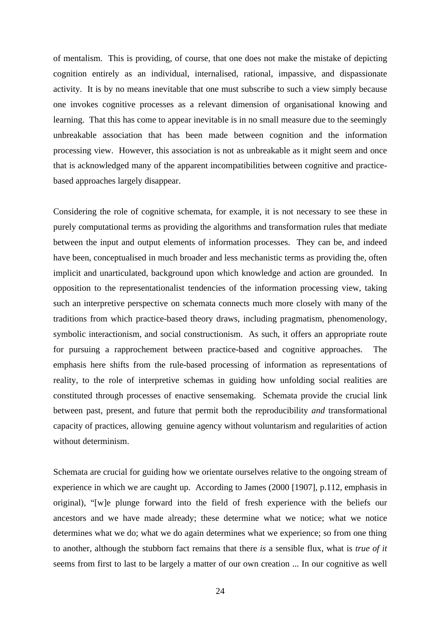of mentalism. This is providing, of course, that one does not make the mistake of depicting cognition entirely as an individual, internalised, rational, impassive, and dispassionate activity. It is by no means inevitable that one must subscribe to such a view simply because one invokes cognitive processes as a relevant dimension of organisational knowing and learning. That this has come to appear inevitable is in no small measure due to the seemingly unbreakable association that has been made between cognition and the information processing view. However, this association is not as unbreakable as it might seem and once that is acknowledged many of the apparent incompatibilities between cognitive and practicebased approaches largely disappear.

Considering the role of cognitive schemata, for example, it is not necessary to see these in purely computational terms as providing the algorithms and transformation rules that mediate between the input and output elements of information processes. They can be, and indeed have been, conceptualised in much broader and less mechanistic terms as providing the, often implicit and unarticulated, background upon which knowledge and action are grounded. In opposition to the representationalist tendencies of the information processing view, taking such an interpretive perspective on schemata connects much more closely with many of the traditions from which practice-based theory draws, including pragmatism, phenomenology, symbolic interactionism, and social constructionism. As such, it offers an appropriate route for pursuing a rapprochement between practice-based and cognitive approaches. The emphasis here shifts from the rule-based processing of information as representations of reality, to the role of interpretive schemas in guiding how unfolding social realities are constituted through processes of enactive sensemaking. Schemata provide the crucial link between past, present, and future that permit both the reproducibility *and* transformational capacity of practices, allowing genuine agency without voluntarism and regularities of action without determinism.

Schemata are crucial for guiding how we orientate ourselves relative to the ongoing stream of experience in which we are caught up. According to James (2000 [1907], p.112, emphasis in original), "[w]e plunge forward into the field of fresh experience with the beliefs our ancestors and we have made already; these determine what we notice; what we notice determines what we do; what we do again determines what we experience; so from one thing to another, although the stubborn fact remains that there *is* a sensible flux, what is *true of it* seems from first to last to be largely a matter of our own creation ... In our cognitive as well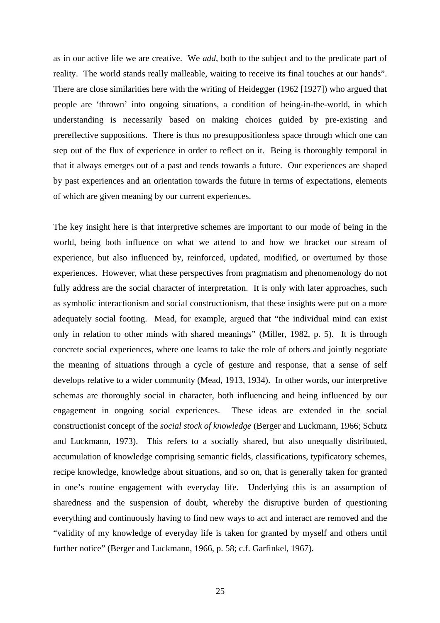as in our active life we are creative. We *add*, both to the subject and to the predicate part of reality. The world stands really malleable, waiting to receive its final touches at our hands". There are close similarities here with the writing of Heidegger (1962 [1927]) who argued that people are 'thrown' into ongoing situations, a condition of being-in-the-world, in which understanding is necessarily based on making choices guided by pre-existing and prereflective suppositions. There is thus no presuppositionless space through which one can step out of the flux of experience in order to reflect on it. Being is thoroughly temporal in that it always emerges out of a past and tends towards a future. Our experiences are shaped by past experiences and an orientation towards the future in terms of expectations, elements of which are given meaning by our current experiences.

The key insight here is that interpretive schemes are important to our mode of being in the world, being both influence on what we attend to and how we bracket our stream of experience, but also influenced by, reinforced, updated, modified, or overturned by those experiences. However, what these perspectives from pragmatism and phenomenology do not fully address are the social character of interpretation. It is only with later approaches, such as symbolic interactionism and social constructionism, that these insights were put on a more adequately social footing. Mead, for example, argued that "the individual mind can exist only in relation to other minds with shared meanings" (Miller, 1982, p. 5). It is through concrete social experiences, where one learns to take the role of others and jointly negotiate the meaning of situations through a cycle of gesture and response, that a sense of self develops relative to a wider community (Mead, 1913, 1934). In other words, our interpretive schemas are thoroughly social in character, both influencing and being influenced by our engagement in ongoing social experiences. These ideas are extended in the social constructionist concept of the *social stock of knowledge* (Berger and Luckmann, 1966; Schutz and Luckmann, 1973). This refers to a socially shared, but also unequally distributed, accumulation of knowledge comprising semantic fields, classifications, typificatory schemes, recipe knowledge, knowledge about situations, and so on, that is generally taken for granted in one's routine engagement with everyday life. Underlying this is an assumption of sharedness and the suspension of doubt, whereby the disruptive burden of questioning everything and continuously having to find new ways to act and interact are removed and the "validity of my knowledge of everyday life is taken for granted by myself and others until further notice" (Berger and Luckmann, 1966, p. 58; c.f. Garfinkel, 1967).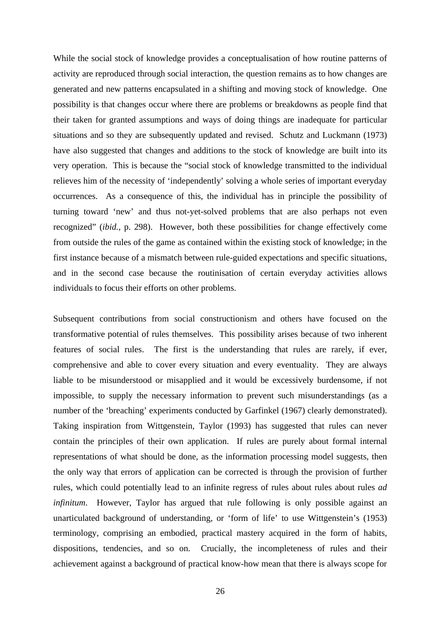While the social stock of knowledge provides a conceptualisation of how routine patterns of activity are reproduced through social interaction, the question remains as to how changes are generated and new patterns encapsulated in a shifting and moving stock of knowledge. One possibility is that changes occur where there are problems or breakdowns as people find that their taken for granted assumptions and ways of doing things are inadequate for particular situations and so they are subsequently updated and revised. Schutz and Luckmann (1973) have also suggested that changes and additions to the stock of knowledge are built into its very operation. This is because the "social stock of knowledge transmitted to the individual relieves him of the necessity of 'independently' solving a whole series of important everyday occurrences. As a consequence of this, the individual has in principle the possibility of turning toward 'new' and thus not-yet-solved problems that are also perhaps not even recognized" (*ibid.,* p. 298). However, both these possibilities for change effectively come from outside the rules of the game as contained within the existing stock of knowledge; in the first instance because of a mismatch between rule-guided expectations and specific situations, and in the second case because the routinisation of certain everyday activities allows individuals to focus their efforts on other problems.

Subsequent contributions from social constructionism and others have focused on the transformative potential of rules themselves. This possibility arises because of two inherent features of social rules. The first is the understanding that rules are rarely, if ever, comprehensive and able to cover every situation and every eventuality. They are always liable to be misunderstood or misapplied and it would be excessively burdensome, if not impossible, to supply the necessary information to prevent such misunderstandings (as a number of the 'breaching' experiments conducted by Garfinkel (1967) clearly demonstrated). Taking inspiration from Wittgenstein, Taylor (1993) has suggested that rules can never contain the principles of their own application. If rules are purely about formal internal representations of what should be done, as the information processing model suggests, then the only way that errors of application can be corrected is through the provision of further rules, which could potentially lead to an infinite regress of rules about rules about rules *ad infinitum*. However, Taylor has argued that rule following is only possible against an unarticulated background of understanding, or 'form of life' to use Wittgenstein's (1953) terminology, comprising an embodied, practical mastery acquired in the form of habits, dispositions, tendencies, and so on. Crucially, the incompleteness of rules and their achievement against a background of practical know-how mean that there is always scope for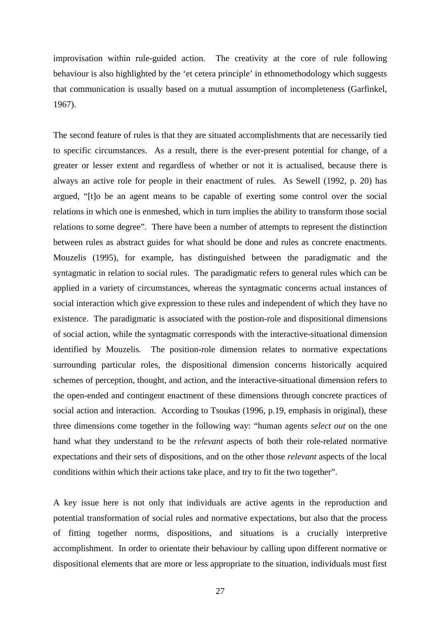improvisation within rule-guided action. The creativity at the core of rule following behaviour is also highlighted by the 'et cetera principle' in ethnomethodology which suggests that communication is usually based on a mutual assumption of incompleteness (Garfinkel, 1967).

The second feature of rules is that they are situated accomplishments that are necessarily tied to specific circumstances. As a result, there is the ever-present potential for change, of a greater or lesser extent and regardless of whether or not it is actualised, because there is always an active role for people in their enactment of rules. As Sewell (1992, p. 20) has argued, "[t]o be an agent means to be capable of exerting some control over the social relations in which one is enmeshed, which in turn implies the ability to transform those social relations to some degree". There have been a number of attempts to represent the distinction between rules as abstract guides for what should be done and rules as concrete enactments. Mouzelis (1995), for example, has distinguished between the paradigmatic and the syntagmatic in relation to social rules. The paradigmatic refers to general rules which can be applied in a variety of circumstances, whereas the syntagmatic concerns actual instances of social interaction which give expression to these rules and independent of which they have no existence. The paradigmatic is associated with the postion-role and dispositional dimensions of social action, while the syntagmatic corresponds with the interactive-situational dimension identified by Mouzelis. The position-role dimension relates to normative expectations surrounding particular roles, the dispositional dimension concerns historically acquired schemes of perception, thought, and action, and the interactive-situational dimension refers to the open-ended and contingent enactment of these dimensions through concrete practices of social action and interaction. According to Tsoukas (1996, p.19, emphasis in original), these three dimensions come together in the following way: "human agents *select out* on the one hand what they understand to be the *relevant* aspects of both their role-related normative expectations and their sets of dispositions, and on the other those *relevant* aspects of the local conditions within which their actions take place, and try to fit the two together".

A key issue here is not only that individuals are active agents in the reproduction and potential transformation of social rules and normative expectations, but also that the process of fitting together norms, dispositions, and situations is a crucially interpretive accomplishment. In order to orientate their behaviour by calling upon different normative or dispositional elements that are more or less appropriate to the situation, individuals must first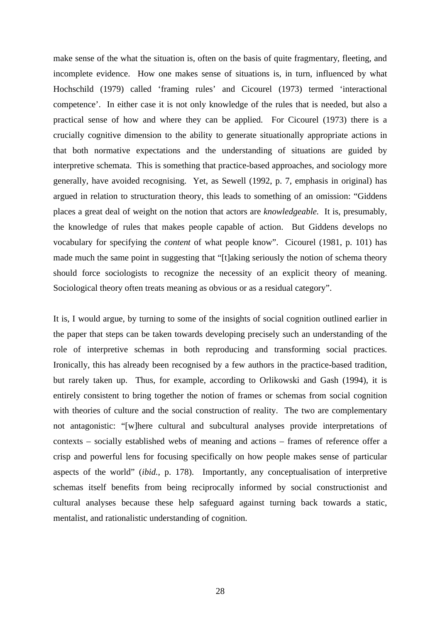make sense of the what the situation is, often on the basis of quite fragmentary, fleeting, and incomplete evidence. How one makes sense of situations is, in turn, influenced by what Hochschild (1979) called 'framing rules' and Cicourel (1973) termed 'interactional competence'. In either case it is not only knowledge of the rules that is needed, but also a practical sense of how and where they can be applied. For Cicourel (1973) there is a crucially cognitive dimension to the ability to generate situationally appropriate actions in that both normative expectations and the understanding of situations are guided by interpretive schemata. This is something that practice-based approaches, and sociology more generally, have avoided recognising. Yet, as Sewell (1992, p. 7, emphasis in original) has argued in relation to structuration theory, this leads to something of an omission: "Giddens places a great deal of weight on the notion that actors are *knowledgeable.* It is, presumably, the knowledge of rules that makes people capable of action. But Giddens develops no vocabulary for specifying the *content* of what people know". Cicourel (1981, p. 101) has made much the same point in suggesting that "[t]aking seriously the notion of schema theory should force sociologists to recognize the necessity of an explicit theory of meaning. Sociological theory often treats meaning as obvious or as a residual category".

It is, I would argue, by turning to some of the insights of social cognition outlined earlier in the paper that steps can be taken towards developing precisely such an understanding of the role of interpretive schemas in both reproducing and transforming social practices. Ironically, this has already been recognised by a few authors in the practice-based tradition, but rarely taken up. Thus, for example, according to Orlikowski and Gash (1994), it is entirely consistent to bring together the notion of frames or schemas from social cognition with theories of culture and the social construction of reality. The two are complementary not antagonistic: "[w]here cultural and subcultural analyses provide interpretations of contexts – socially established webs of meaning and actions – frames of reference offer a crisp and powerful lens for focusing specifically on how people makes sense of particular aspects of the world" (*ibid.,* p. 178). Importantly, any conceptualisation of interpretive schemas itself benefits from being reciprocally informed by social constructionist and cultural analyses because these help safeguard against turning back towards a static, mentalist, and rationalistic understanding of cognition.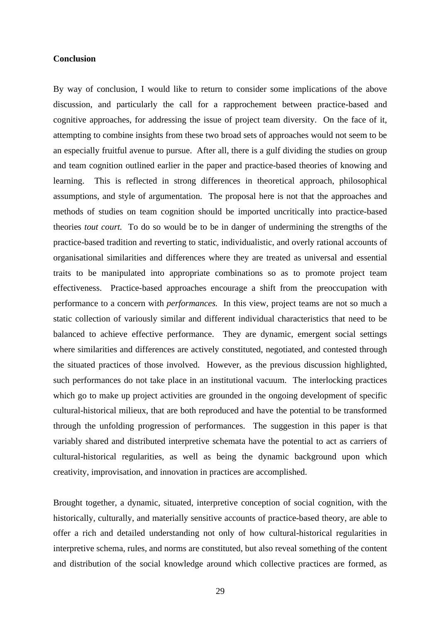## **Conclusion**

By way of conclusion, I would like to return to consider some implications of the above discussion, and particularly the call for a rapprochement between practice-based and cognitive approaches, for addressing the issue of project team diversity. On the face of it, attempting to combine insights from these two broad sets of approaches would not seem to be an especially fruitful avenue to pursue. After all, there is a gulf dividing the studies on group and team cognition outlined earlier in the paper and practice-based theories of knowing and learning. This is reflected in strong differences in theoretical approach, philosophical assumptions, and style of argumentation. The proposal here is not that the approaches and methods of studies on team cognition should be imported uncritically into practice-based theories *tout court.* To do so would be to be in danger of undermining the strengths of the practice-based tradition and reverting to static, individualistic, and overly rational accounts of organisational similarities and differences where they are treated as universal and essential traits to be manipulated into appropriate combinations so as to promote project team effectiveness. Practice-based approaches encourage a shift from the preoccupation with performance to a concern with *performances.* In this view, project teams are not so much a static collection of variously similar and different individual characteristics that need to be balanced to achieve effective performance. They are dynamic, emergent social settings where similarities and differences are actively constituted, negotiated, and contested through the situated practices of those involved. However, as the previous discussion highlighted, such performances do not take place in an institutional vacuum. The interlocking practices which go to make up project activities are grounded in the ongoing development of specific cultural-historical milieux, that are both reproduced and have the potential to be transformed through the unfolding progression of performances. The suggestion in this paper is that variably shared and distributed interpretive schemata have the potential to act as carriers of cultural-historical regularities, as well as being the dynamic background upon which creativity, improvisation, and innovation in practices are accomplished.

Brought together, a dynamic, situated, interpretive conception of social cognition, with the historically, culturally, and materially sensitive accounts of practice-based theory, are able to offer a rich and detailed understanding not only of how cultural-historical regularities in interpretive schema, rules, and norms are constituted, but also reveal something of the content and distribution of the social knowledge around which collective practices are formed, as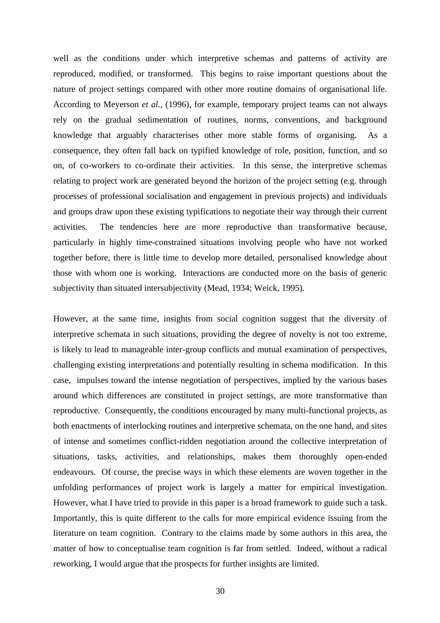well as the conditions under which interpretive schemas and patterns of activity are reproduced, modified, or transformed. This begins to raise important questions about the nature of project settings compared with other more routine domains of organisational life. According to Meyerson *et al.,* (1996), for example, temporary project teams can not always rely on the gradual sedimentation of routines, norms, conventions, and background knowledge that arguably characterises other more stable forms of organising. As a consequence, they often fall back on typified knowledge of role, position, function, and so on, of co-workers to co-ordinate their activities. In this sense, the interpretive schemas relating to project work are generated beyond the horizon of the project setting (e.g. through processes of professional socialisation and engagement in previous projects) and individuals and groups draw upon these existing typifications to negotiate their way through their current activities. The tendencies here are more reproductive than transformative because, particularly in highly time-constrained situations involving people who have not worked together before, there is little time to develop more detailed, personalised knowledge about those with whom one is working. Interactions are conducted more on the basis of generic subjectivity than situated intersubjectivity (Mead, 1934; Weick, 1995).

However, at the same time, insights from social cognition suggest that the diversity of interpretive schemata in such situations, providing the degree of novelty is not too extreme, is likely to lead to manageable inter-group conflicts and mutual examination of perspectives, challenging existing interpretations and potentially resulting in schema modification. In this case, impulses toward the intense negotiation of perspectives, implied by the various bases around which differences are constituted in project settings, are more transformative than reproductive. Consequently, the conditions encouraged by many multi-functional projects, as both enactments of interlocking routines and interpretive schemata, on the one hand, and sites of intense and sometimes conflict-ridden negotiation around the collective interpretation of situations, tasks, activities, and relationships, makes them thoroughly open-ended endeavours. Of course, the precise ways in which these elements are woven together in the unfolding performances of project work is largely a matter for empirical investigation. However, what I have tried to provide in this paper is a broad framework to guide such a task. Importantly, this is quite different to the calls for more empirical evidence issuing from the literature on team cognition. Contrary to the claims made by some authors in this area, the matter of how to conceptualise team cognition is far from settled. Indeed, without a radical reworking, I would argue that the prospects for further insights are limited.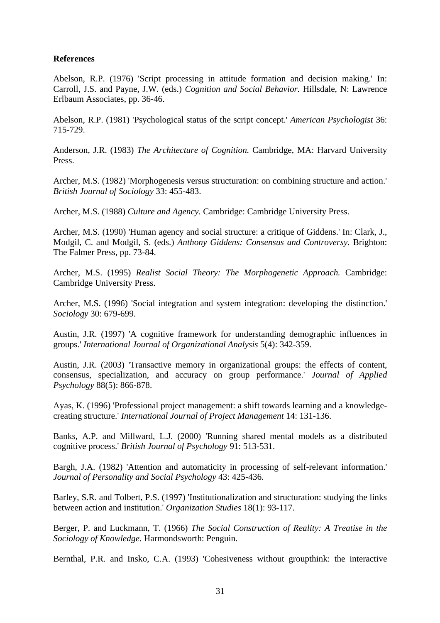## **References**

Abelson, R.P. (1976) 'Script processing in attitude formation and decision making.' In: Carroll, J.S. and Payne, J.W. (eds.) *Cognition and Social Behavior.* Hillsdale, N: Lawrence Erlbaum Associates, pp. 36-46.

Abelson, R.P. (1981) 'Psychological status of the script concept.' *American Psychologist* 36: 715-729.

Anderson, J.R. (1983) *The Architecture of Cognition.* Cambridge, MA: Harvard University Press.

Archer, M.S. (1982) 'Morphogenesis versus structuration: on combining structure and action.' *British Journal of Sociology* 33: 455-483.

Archer, M.S. (1988) *Culture and Agency.* Cambridge: Cambridge University Press.

Archer, M.S. (1990) 'Human agency and social structure: a critique of Giddens.' In: Clark, J., Modgil, C. and Modgil, S. (eds.) *Anthony Giddens: Consensus and Controversy.* Brighton: The Falmer Press, pp. 73-84.

Archer, M.S. (1995) *Realist Social Theory: The Morphogenetic Approach.* Cambridge: Cambridge University Press.

Archer, M.S. (1996) 'Social integration and system integration: developing the distinction.' *Sociology* 30: 679-699.

Austin, J.R. (1997) 'A cognitive framework for understanding demographic influences in groups.' *International Journal of Organizational Analysis* 5(4): 342-359.

Austin, J.R. (2003) 'Transactive memory in organizational groups: the effects of content, consensus, specialization, and accuracy on group performance.' *Journal of Applied Psychology* 88(5): 866-878.

Ayas, K. (1996) 'Professional project management: a shift towards learning and a knowledgecreating structure.' *International Journal of Project Management* 14: 131-136.

Banks, A.P. and Millward, L.J. (2000) 'Running shared mental models as a distributed cognitive process.' *British Journal of Psychology* 91: 513-531.

Bargh, J.A. (1982) 'Attention and automaticity in processing of self-relevant information.' *Journal of Personality and Social Psychology* 43: 425-436.

Barley, S.R. and Tolbert, P.S. (1997) 'Institutionalization and structuration: studying the links between action and institution.' *Organization Studies* 18(1): 93-117.

Berger, P. and Luckmann, T. (1966) *The Social Construction of Reality: A Treatise in the Sociology of Knowledge.* Harmondsworth: Penguin.

Bernthal, P.R. and Insko, C.A. (1993) 'Cohesiveness without groupthink: the interactive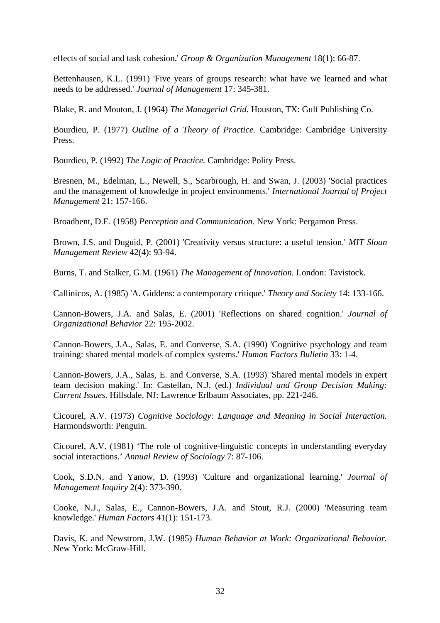effects of social and task cohesion.' *Group & Organization Management* 18(1): 66-87.

Bettenhausen, K.L. (1991) 'Five years of groups research: what have we learned and what needs to be addressed.' *Journal of Management* 17: 345-381.

Blake, R. and Mouton, J. (1964) *The Managerial Grid.* Houston, TX: Gulf Publishing Co.

Bourdieu, P. (1977) *Outline of a Theory of Practice.* Cambridge: Cambridge University Press.

Bourdieu, P. (1992) *The Logic of Practice.* Cambridge: Polity Press.

Bresnen, M., Edelman, L., Newell, S., Scarbrough, H. and Swan, J. (2003) 'Social practices and the management of knowledge in project environments.' *International Journal of Project Management* 21: 157-166.

Broadbent, D.E. (1958) *Perception and Communication.* New York: Pergamon Press.

Brown, J.S. and Duguid, P. (2001) 'Creativity versus structure: a useful tension.' *MIT Sloan Management Review* 42(4): 93-94.

Burns, T. and Stalker, G.M. (1961) *The Management of Innovation.* London: Tavistock.

Callinicos, A. (1985) 'A. Giddens: a contemporary critique.' *Theory and Society* 14: 133-166.

Cannon-Bowers, J.A. and Salas, E. (2001) 'Reflections on shared cognition.' *Journal of Organizational Behavior* 22: 195-2002.

Cannon-Bowers, J.A., Salas, E. and Converse, S.A. (1990) 'Cognitive psychology and team training: shared mental models of complex systems.' *Human Factors Bulletin* 33: 1-4.

Cannon-Bowers, J.A., Salas, E. and Converse, S.A. (1993) 'Shared mental models in expert team decision making.' In: Castellan, N.J. (ed.) *Individual and Group Decision Making: Current Issues.* Hillsdale, NJ: Lawrence Erlbaum Associates, pp. 221-246.

Cicourel, A.V. (1973) *Cognitive Sociology: Language and Meaning in Social Interaction.* Harmondsworth: Penguin.

Cicourel, A.V. (1981) 'The role of cognitive-linguistic concepts in understanding everyday social interactions.' *Annual Review of Sociology* 7: 87-106.

Cook, S.D.N. and Yanow, D. (1993) 'Culture and organizational learning.' *Journal of Management Inquiry* 2(4): 373-390.

Cooke, N.J., Salas, E., Cannon-Bowers, J.A. and Stout, R.J. (2000) 'Measuring team knowledge.' *Human Factors* 41(1): 151-173.

Davis, K. and Newstrom, J.W. (1985) *Human Behavior at Work: Organizational Behavior.* New York: McGraw-Hill.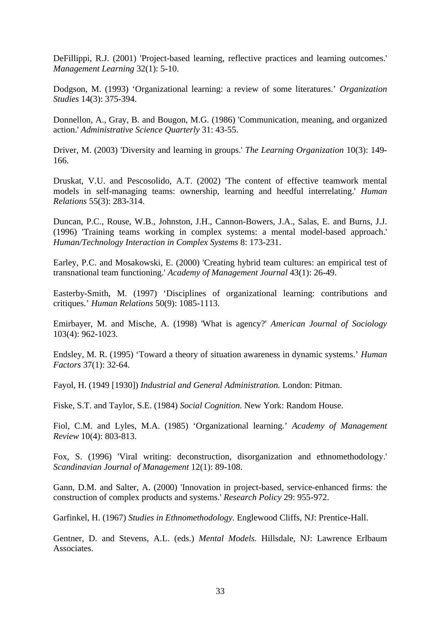DeFillippi, R.J. (2001) 'Project-based learning, reflective practices and learning outcomes.' *Management Learning* 32(1): 5-10.

Dodgson, M. (1993) 'Organizational learning: a review of some literatures.' *Organization Studies* 14(3): 375-394.

Donnellon, A., Gray, B. and Bougon, M.G. (1986) 'Communication, meaning, and organized action.' *Administrative Science Quarterly* 31: 43-55.

Driver, M. (2003) 'Diversity and learning in groups.' *The Learning Organization* 10(3): 149- 166.

Druskat, V.U. and Pescosolido, A.T. (2002) 'The content of effective teamwork mental models in self-managing teams: ownership, learning and heedful interrelating.' *Human Relations* 55(3): 283-314.

Duncan, P.C., Rouse, W.B., Johnston, J.H., Cannon-Bowers, J.A., Salas, E. and Burns, J.J. (1996) 'Training teams working in complex systems: a mental model-based approach.' *Human/Technology Interaction in Complex Systems* 8: 173-231.

Earley, P.C. and Mosakowski, E. (2000) 'Creating hybrid team cultures: an empirical test of transnational team functioning.' *Academy of Management Journal* 43(1): 26-49.

Easterby-Smith, M. (1997) 'Disciplines of organizational learning: contributions and critiques.' *Human Relations* 50(9): 1085-1113.

Emirbayer, M. and Mische, A. (1998) 'What is agency?' *American Journal of Sociology* 103(4): 962-1023.

Endsley, M. R. (1995) 'Toward a theory of situation awareness in dynamic systems.' *Human Factors* 37(1): 32-64.

Fayol, H. (1949 [1930]) *Industrial and General Administration.* London: Pitman.

Fiske, S.T. and Taylor, S.E. (1984) *Social Cognition.* New York: Random House.

Fiol, C.M. and Lyles, M.A. (1985) 'Organizational learning.' *Academy of Management Review* 10(4): 803-813.

Fox, S. (1996) 'Viral writing: deconstruction, disorganization and ethnomethodology.' *Scandinavian Journal of Management* 12(1): 89-108.

Gann, D.M. and Salter, A. (2000) 'Innovation in project-based, service-enhanced firms: the construction of complex products and systems.' *Research Policy* 29: 955-972.

Garfinkel, H. (1967) *Studies in Ethnomethodology.* Englewood Cliffs, NJ: Prentice-Hall.

Gentner, D. and Stevens, A.L. (eds.) *Mental Models.* Hillsdale, NJ: Lawrence Erlbaum Associates.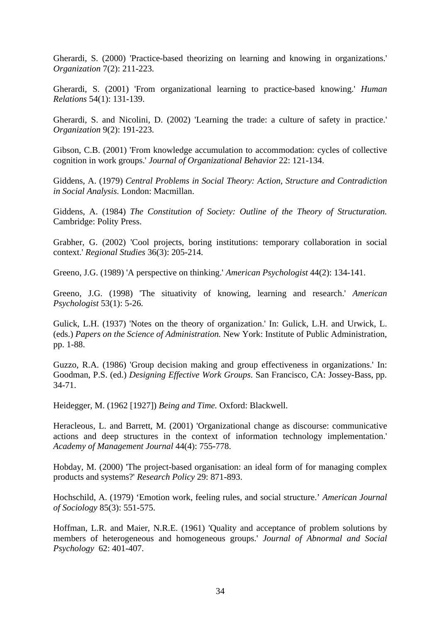Gherardi, S. (2000) 'Practice-based theorizing on learning and knowing in organizations.' *Organization* 7(2): 211-223.

Gherardi, S. (2001) 'From organizational learning to practice-based knowing.' *Human Relations* 54(1): 131-139.

Gherardi, S. and Nicolini, D. (2002) 'Learning the trade: a culture of safety in practice.' *Organization* 9(2): 191-223.

Gibson, C.B. (2001) 'From knowledge accumulation to accommodation: cycles of collective cognition in work groups.' *Journal of Organizational Behavior* 22: 121-134.

Giddens, A. (1979) *Central Problems in Social Theory: Action, Structure and Contradiction in Social Analysis.* London: Macmillan.

Giddens, A. (1984) *The Constitution of Society: Outline of the Theory of Structuration.* Cambridge: Polity Press.

Grabher, G. (2002) 'Cool projects, boring institutions: temporary collaboration in social context.' *Regional Studies* 36(3): 205-214.

Greeno, J.G. (1989) 'A perspective on thinking.' *American Psychologist* 44(2): 134-141.

Greeno, J.G. (1998) 'The situativity of knowing, learning and research.' *American Psychologist* 53(1): 5-26.

Gulick, L.H. (1937) 'Notes on the theory of organization.' In: Gulick, L.H. and Urwick, L. (eds.) *Papers on the Science of Administration.* New York: Institute of Public Administration, pp. 1-88.

Guzzo, R.A. (1986) 'Group decision making and group effectiveness in organizations.' In: Goodman, P.S. (ed.) *Designing Effective Work Groups*. San Francisco, CA: Jossey-Bass, pp. 34-71.

Heidegger, M. (1962 [1927]) *Being and Time.* Oxford: Blackwell.

Heracleous, L. and Barrett, M. (2001) 'Organizational change as discourse: communicative actions and deep structures in the context of information technology implementation.' *Academy of Management Journal* 44(4): 755-778.

Hobday, M. (2000) 'The project-based organisation: an ideal form of for managing complex products and systems?' *Research Policy* 29: 871-893.

Hochschild, A. (1979) 'Emotion work, feeling rules, and social structure.' *American Journal of Sociology* 85(3): 551-575.

Hoffman, L.R. and Maier, N.R.E. (1961) 'Quality and acceptance of problem solutions by members of heterogeneous and homogeneous groups.' *Journal of Abnormal and Social Psychology* 62: 401-407.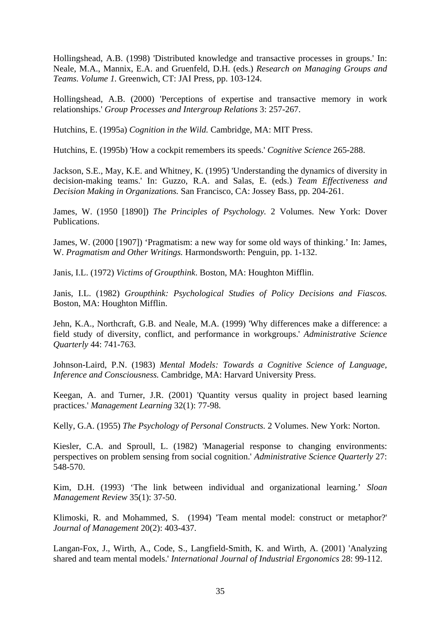Hollingshead, A.B. (1998) 'Distributed knowledge and transactive processes in groups.' In: Neale, M.A., Mannix, E.A. and Gruenfeld, D.H. (eds.) *Research on Managing Groups and Teams. Volume 1.* Greenwich, CT: JAI Press, pp. 103-124.

Hollingshead, A.B. (2000) 'Perceptions of expertise and transactive memory in work relationships.' *Group Processes and Intergroup Relations* 3: 257-267.

Hutchins, E. (1995a) *Cognition in the Wild.* Cambridge, MA: MIT Press.

Hutchins, E. (1995b) 'How a cockpit remembers its speeds.' *Cognitive Science* 265-288.

Jackson, S.E., May, K.E. and Whitney, K. (1995) 'Understanding the dynamics of diversity in decision-making teams.' In: Guzzo, R.A. and Salas, E. (eds.) *Team Effectiveness and Decision Making in Organizations.* San Francisco, CA: Jossey Bass, pp. 204-261.

James, W. (1950 [1890]) *The Principles of Psychology.* 2 Volumes. New York: Dover Publications.

James, W. (2000 [1907]) 'Pragmatism: a new way for some old ways of thinking.' In: James, W. *Pragmatism and Other Writings.* Harmondsworth: Penguin, pp. 1-132.

Janis, I.L. (1972) *Victims of Groupthink*. Boston, MA: Houghton Mifflin.

Janis, I.L. (1982) *Groupthink: Psychological Studies of Policy Decisions and Fiascos.* Boston, MA: Houghton Mifflin.

Jehn, K.A., Northcraft, G.B. and Neale, M.A. (1999) 'Why differences make a difference: a field study of diversity, conflict, and performance in workgroups.' *Administrative Science Quarterly* 44: 741-763.

Johnson-Laird, P.N. (1983) *Mental Models: Towards a Cognitive Science of Language, Inference and Consciousness.* Cambridge, MA: Harvard University Press.

Keegan, A. and Turner, J.R. (2001) 'Quantity versus quality in project based learning practices.' *Management Learning* 32(1): 77-98.

Kelly, G.A. (1955) *The Psychology of Personal Constructs.* 2 Volumes. New York: Norton.

Kiesler, C.A. and Sproull, L. (1982) 'Managerial response to changing environments: perspectives on problem sensing from social cognition.' *Administrative Science Quarterly* 27: 548-570.

Kim, D.H. (1993) 'The link between individual and organizational learning.' *Sloan Management Review* 35(1): 37-50.

Klimoski, R. and Mohammed, S. (1994) 'Team mental model: construct or metaphor?' *Journal of Management* 20(2): 403-437.

Langan-Fox, J., Wirth, A., Code, S., Langfield-Smith, K. and Wirth, A. (2001) 'Analyzing shared and team mental models.' *International Journal of Industrial Ergonomics* 28: 99-112.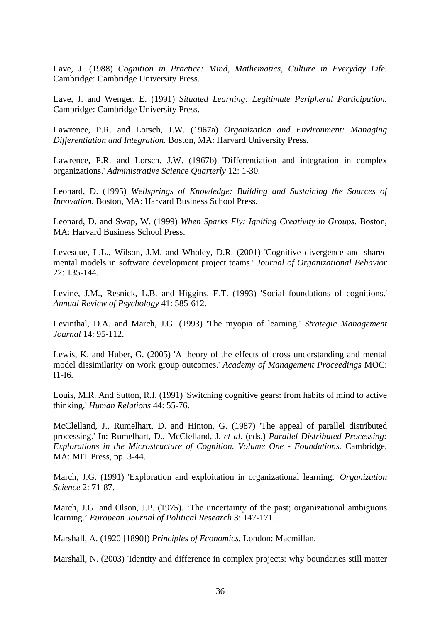Lave, J. (1988) *Cognition in Practice: Mind, Mathematics, Culture in Everyday Life.* Cambridge: Cambridge University Press.

Lave, J. and Wenger, E. (1991) *Situated Learning: Legitimate Peripheral Participation.* Cambridge: Cambridge University Press.

Lawrence, P.R. and Lorsch, J.W. (1967a) *Organization and Environment: Managing Differentiation and Integration.* Boston, MA: Harvard University Press.

Lawrence, P.R. and Lorsch, J.W. (1967b) 'Differentiation and integration in complex organizations.' *Administrative Science Quarterly* 12: 1-30.

Leonard, D. (1995) *Wellsprings of Knowledge: Building and Sustaining the Sources of Innovation.* Boston, MA: Harvard Business School Press.

Leonard, D. and Swap, W. (1999) *When Sparks Fly: Igniting Creativity in Groups.* Boston, MA: Harvard Business School Press.

Levesque, L.L., Wilson, J.M. and Wholey, D.R. (2001) 'Cognitive divergence and shared mental models in software development project teams.' *Journal of Organizational Behavior* 22: 135-144.

Levine, J.M., Resnick, L.B. and Higgins, E.T. (1993) 'Social foundations of cognitions.' *Annual Review of Psychology* 41: 585-612.

Levinthal, D.A. and March, J.G. (1993) 'The myopia of learning.' *Strategic Management Journal* 14: 95-112.

Lewis, K. and Huber, G. (2005) 'A theory of the effects of cross understanding and mental model dissimilarity on work group outcomes.' *Academy of Management Proceedings* MOC: I1-I6.

Louis, M.R. And Sutton, R.I. (1991) 'Switching cognitive gears: from habits of mind to active thinking.' *Human Relations* 44: 55-76.

McClelland, J., Rumelhart, D. and Hinton, G. (1987) 'The appeal of parallel distributed processing.' In: Rumelhart, D., McClelland, J. *et al.* (eds.) *Parallel Distributed Processing: Explorations in the Microstructure of Cognition. Volume One - Foundations.* Cambridge, MA: MIT Press, pp. 3-44.

March, J.G. (1991) 'Exploration and exploitation in organizational learning.' *Organization Science* 2: 71-87.

March, J.G. and Olson, J.P. (1975). 'The uncertainty of the past; organizational ambiguous learning.' *European Journal of Political Research* 3: 147-171.

Marshall, A. (1920 [1890]) *Principles of Economics.* London: Macmillan.

Marshall, N. (2003) 'Identity and difference in complex projects: why boundaries still matter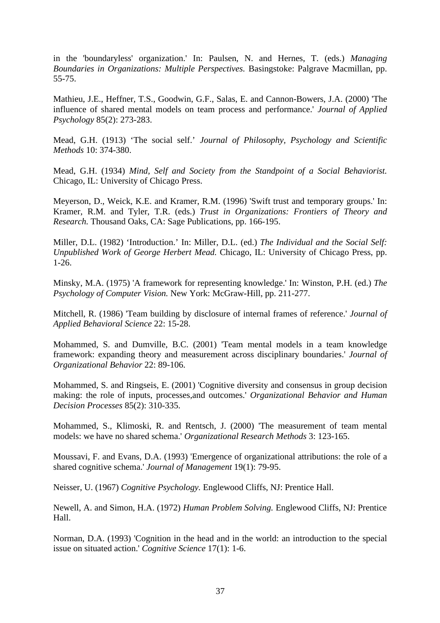in the 'boundaryless' organization.' In: Paulsen, N. and Hernes, T. (eds.) *Managing Boundaries in Organizations: Multiple Perspectives.* Basingstoke: Palgrave Macmillan, pp. 55-75.

Mathieu, J.E., Heffner, T.S., Goodwin, G.F., Salas, E. and Cannon-Bowers, J.A. (2000) 'The influence of shared mental models on team process and performance.' *Journal of Applied Psychology* 85(2): 273-283.

Mead, G.H. (1913) 'The social self.' *Journal of Philosophy, Psychology and Scientific Methods* 10: 374-380.

Mead, G.H. (1934) *Mind, Self and Society from the Standpoint of a Social Behaviorist.* Chicago, IL: University of Chicago Press.

Meyerson, D., Weick, K.E. and Kramer, R.M. (1996) 'Swift trust and temporary groups.' In: Kramer, R.M. and Tyler, T.R. (eds.) *Trust in Organizations: Frontiers of Theory and Research.* Thousand Oaks, CA: Sage Publications, pp. 166-195.

Miller, D.L. (1982) 'Introduction.' In: Miller, D.L. (ed.) *The Individual and the Social Self: Unpublished Work of George Herbert Mead.* Chicago, IL: University of Chicago Press, pp. 1-26.

Minsky, M.A. (1975) 'A framework for representing knowledge.' In: Winston, P.H. (ed.) *The Psychology of Computer Vision.* New York: McGraw-Hill, pp. 211-277.

Mitchell, R. (1986) 'Team building by disclosure of internal frames of reference.' *Journal of Applied Behavioral Science* 22: 15-28.

Mohammed, S. and Dumville, B.C. (2001) 'Team mental models in a team knowledge framework: expanding theory and measurement across disciplinary boundaries.' *Journal of Organizational Behavior* 22: 89-106.

Mohammed, S. and Ringseis, E. (2001) 'Cognitive diversity and consensus in group decision making: the role of inputs, processes,and outcomes.' *Organizational Behavior and Human Decision Processes* 85(2): 310-335.

Mohammed, S., Klimoski, R. and Rentsch, J. (2000) 'The measurement of team mental models: we have no shared schema.' *Organizational Research Methods* 3: 123-165.

Moussavi, F. and Evans, D.A. (1993) 'Emergence of organizational attributions: the role of a shared cognitive schema.' *Journal of Management* 19(1): 79-95.

Neisser, U. (1967) *Cognitive Psychology.* Englewood Cliffs, NJ: Prentice Hall.

Newell, A. and Simon, H.A. (1972) *Human Problem Solving.* Englewood Cliffs, NJ: Prentice Hall.

Norman, D.A. (1993) 'Cognition in the head and in the world: an introduction to the special issue on situated action.' *Cognitive Science* 17(1): 1-6.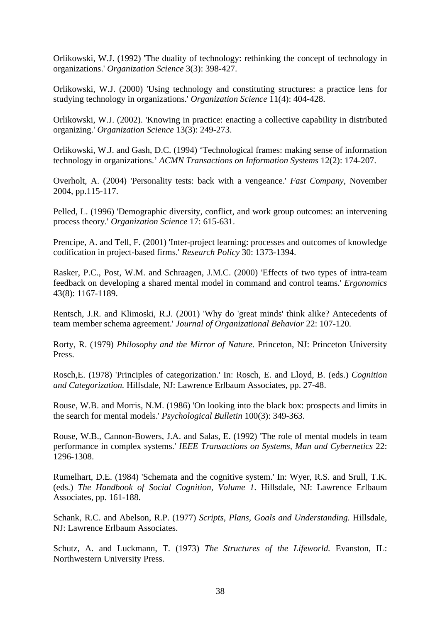Orlikowski, W.J. (1992) 'The duality of technology: rethinking the concept of technology in organizations.' *Organization Science* 3(3): 398-427.

Orlikowski, W.J. (2000) 'Using technology and constituting structures: a practice lens for studying technology in organizations.' *Organization Science* 11(4): 404-428.

Orlikowski, W.J. (2002). 'Knowing in practice: enacting a collective capability in distributed organizing.' *Organization Science* 13(3): 249-273.

Orlikowski, W.J. and Gash, D.C. (1994) 'Technological frames: making sense of information technology in organizations.' *ACMN Transactions on Information Systems* 12(2): 174-207.

Overholt, A. (2004) 'Personality tests: back with a vengeance.' *Fast Company*, November 2004, pp.115-117.

Pelled, L. (1996) 'Demographic diversity, conflict, and work group outcomes: an intervening process theory.' *Organization Science* 17: 615-631.

Prencipe, A. and Tell, F. (2001) 'Inter-project learning: processes and outcomes of knowledge codification in project-based firms.' *Research Policy* 30: 1373-1394.

Rasker, P.C., Post, W.M. and Schraagen, J.M.C. (2000) 'Effects of two types of intra-team feedback on developing a shared mental model in command and control teams.' *Ergonomics*  43(8): 1167-1189.

Rentsch, J.R. and Klimoski, R.J. (2001) 'Why do 'great minds' think alike? Antecedents of team member schema agreement.' *Journal of Organizational Behavior* 22: 107-120.

Rorty, R. (1979) *Philosophy and the Mirror of Nature.* Princeton, NJ: Princeton University Press.

Rosch,E. (1978) 'Principles of categorization.' In: Rosch, E. and Lloyd, B. (eds.) *Cognition and Categorization.* Hillsdale, NJ: Lawrence Erlbaum Associates, pp. 27-48.

Rouse, W.B. and Morris, N.M. (1986) 'On looking into the black box: prospects and limits in the search for mental models.' *Psychological Bulletin* 100(3): 349-363.

Rouse, W.B., Cannon-Bowers, J.A. and Salas, E. (1992) 'The role of mental models in team performance in complex systems.' *IEEE Transactions on Systems, Man and Cybernetics* 22: 1296-1308.

Rumelhart, D.E. (1984) 'Schemata and the cognitive system.' In: Wyer, R.S. and Srull, T.K. (eds.) *The Handbook of Social Cognition, Volume 1*. Hillsdale, NJ: Lawrence Erlbaum Associates, pp. 161-188.

Schank, R.C. and Abelson, R.P. (1977) *Scripts, Plans, Goals and Understanding.* Hillsdale, NJ: Lawrence Erlbaum Associates.

Schutz, A. and Luckmann, T. (1973) *The Structures of the Lifeworld.* Evanston, IL: Northwestern University Press.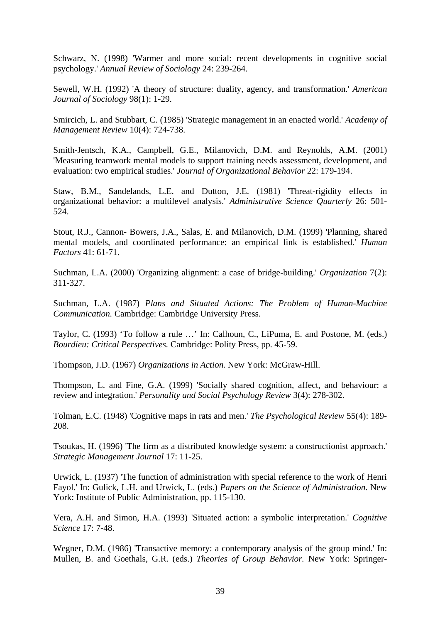Schwarz, N. (1998) 'Warmer and more social: recent developments in cognitive social psychology.' *Annual Review of Sociology* 24: 239-264.

Sewell, W.H. (1992) 'A theory of structure: duality, agency, and transformation.' *American Journal of Sociology* 98(1): 1-29.

Smircich, L. and Stubbart, C. (1985) 'Strategic management in an enacted world.' *Academy of Management Review* 10(4): 724-738.

Smith-Jentsch, K.A., Campbell, G.E., Milanovich, D.M. and Reynolds, A.M. (2001) 'Measuring teamwork mental models to support training needs assessment, development, and evaluation: two empirical studies.' *Journal of Organizational Behavior* 22: 179-194.

Staw, B.M., Sandelands, L.E. and Dutton, J.E. (1981) 'Threat-rigidity effects in organizational behavior: a multilevel analysis.' *Administrative Science Quarterly* 26: 501- 524.

Stout, R.J., Cannon- Bowers, J.A., Salas, E. and Milanovich, D.M. (1999) 'Planning, shared mental models, and coordinated performance: an empirical link is established.' *Human Factors* 41: 61-71.

Suchman, L.A. (2000) 'Organizing alignment: a case of bridge-building.' *Organization* 7(2): 311-327.

Suchman, L.A. (1987) *Plans and Situated Actions: The Problem of Human-Machine Communication.* Cambridge: Cambridge University Press.

Taylor, C. (1993) 'To follow a rule …' In: Calhoun, C., LiPuma, E. and Postone, M. (eds.) *Bourdieu: Critical Perspectives.* Cambridge: Polity Press, pp. 45-59.

Thompson, J.D. (1967) *Organizations in Action.* New York: McGraw-Hill.

Thompson, L. and Fine, G.A. (1999) 'Socially shared cognition, affect, and behaviour: a review and integration.' *Personality and Social Psychology Review* 3(4): 278-302.

Tolman, E.C. (1948) 'Cognitive maps in rats and men.' *The Psychological Review* 55(4): 189- 208.

Tsoukas, H. (1996) 'The firm as a distributed knowledge system: a constructionist approach.' *Strategic Management Journal* 17: 11-25.

Urwick, L. (1937) 'The function of administration with special reference to the work of Henri Fayol.' In: Gulick, L.H. and Urwick, L. (eds.) *Papers on the Science of Administration.* New York: Institute of Public Administration, pp. 115-130.

Vera, A.H. and Simon, H.A. (1993) 'Situated action: a symbolic interpretation.' *Cognitive Science* 17: 7-48.

Wegner, D.M. (1986) 'Transactive memory: a contemporary analysis of the group mind.' In: Mullen, B. and Goethals, G.R. (eds.) *Theories of Group Behavior.* New York: Springer